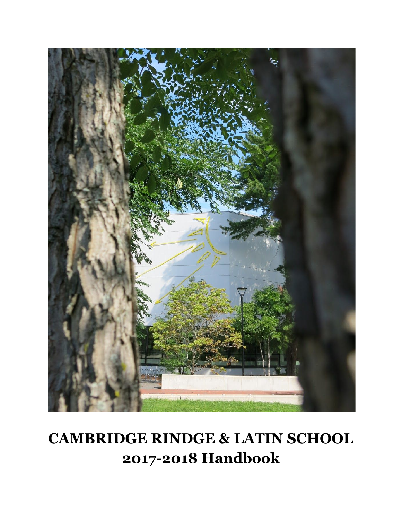

# **CAMBRIDGE RINDGE & LATIN SCHOOL 2017-2018 Handbook**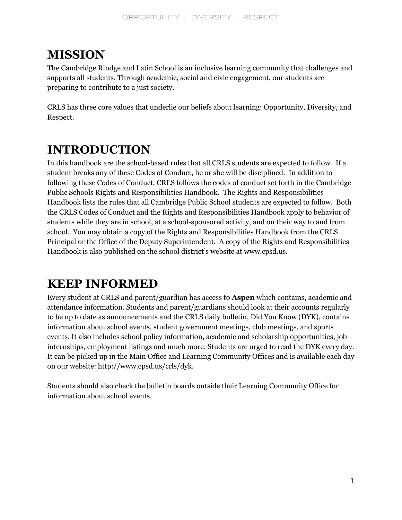## **MISSION**

The Cambridge Rindge and Latin School is an inclusive learning community that challenges and supports all students. Through academic, social and civic engagement, our students are preparing to contribute to a just society.

CRLS has three core values that underlie our beliefs about learning: Opportunity, Diversity, and Respect.

## **INTRODUCTION**

In this handbook are the school-based rules that all CRLS students are expected to follow. If a student breaks any of these Codes of Conduct, he or she will be disciplined. In addition to following these Codes of Conduct, CRLS follows the codes of conduct set forth in the Cambridge Public Schools Rights and Responsibilities Handbook. The Rights and Responsibilities Handbook lists the rules that all Cambridge Public School students are expected to follow. Both the CRLS Codes of Conduct and the Rights and Responsibilities Handbook apply to behavior of students while they are in school, at a school-sponsored activity, and on their way to and from school. You may obtain a copy of the Rights and Responsibilities Handbook from the CRLS Principal or the Office of the Deputy Superintendent. A copy of the Rights and Responsibilities Handbook is also published on the school district's website at www.cpsd.us.

## **KEEP INFORMED**

Every student at CRLS and parent/guardian has access to **Aspen** which contains, academic and attendance information. Students and parent/guardians should look at their accounts regularly to be up to date as announcements and the CRLS daily bulletin, Did You Know (DYK), contains information about school events, student government meetings, club meetings, and sports events. It also includes school policy information, academic and scholarship opportunities, job internships, employment listings and much more. Students are urged to read the DYK every day. It can be picked up in the Main Office and Learning Community Offices and is available each day on our website: http://www.cpsd.us/crls/dyk.

Students should also check the bulletin boards outside their Learning Community Office for information about school events.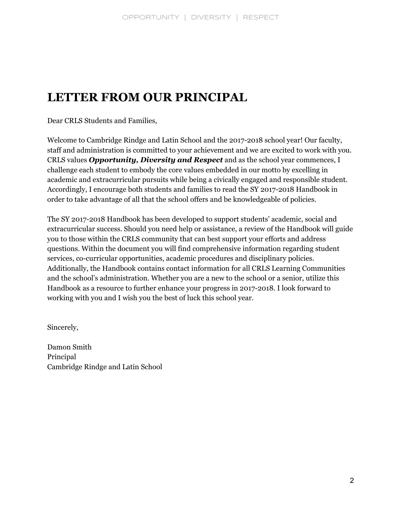## **LETTER FROM OUR PRINCIPAL**

Dear CRLS Students and Families,

Welcome to Cambridge Rindge and Latin School and the 2017-2018 school year! Our faculty, staff and administration is committed to your achievement and we are excited to work with you. CRLS values *Opportunity, Diversity and Respect* and as the school year commences, I challenge each student to embody the core values embedded in our motto by excelling in academic and extracurricular pursuits while being a civically engaged and responsible student. Accordingly, I encourage both students and families to read the SY 2017-2018 Handbook in order to take advantage of all that the school offers and be knowledgeable of policies.

The SY 2017-2018 Handbook has been developed to support students' academic, social and extracurricular success. Should you need help or assistance, a review of the Handbook will guide you to those within the CRLS community that can best support your efforts and address questions. Within the document you will find comprehensive information regarding student services, co-curricular opportunities, academic procedures and disciplinary policies. Additionally, the Handbook contains contact information for all CRLS Learning Communities and the school's administration. Whether you are a new to the school or a senior, utilize this Handbook as a resource to further enhance your progress in 2017-2018. I look forward to working with you and I wish you the best of luck this school year.

Sincerely,

Damon Smith Principal Cambridge Rindge and Latin School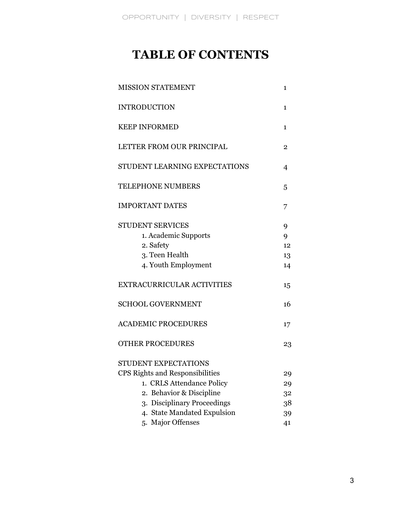## **TABLE OF CONTENTS**

| <b>MISSION STATEMENT</b><br>1          |    |  |  |
|----------------------------------------|----|--|--|
| <b>INTRODUCTION</b>                    | 1  |  |  |
| <b>KEEP INFORMED</b>                   | 1  |  |  |
| LETTER FROM OUR PRINCIPAL              | 2  |  |  |
| STUDENT LEARNING EXPECTATIONS          | 4  |  |  |
| <b>TELEPHONE NUMBERS</b>               | 5  |  |  |
| <b>IMPORTANT DATES</b>                 | 7  |  |  |
| <b>STUDENT SERVICES</b>                | 9  |  |  |
| 1. Academic Supports                   | 9  |  |  |
| 2. Safety                              | 12 |  |  |
| 3. Teen Health                         | 13 |  |  |
| 4. Youth Employment                    | 14 |  |  |
| EXTRACURRICULAR ACTIVITIES             | 15 |  |  |
| <b>SCHOOL GOVERNMENT</b>               | 16 |  |  |
| <b>ACADEMIC PROCEDURES</b>             | 17 |  |  |
| <b>OTHER PROCEDURES</b>                | 23 |  |  |
| STUDENT EXPECTATIONS                   |    |  |  |
| <b>CPS Rights and Responsibilities</b> | 29 |  |  |
| 1. CRLS Attendance Policy              | 29 |  |  |
| Behavior & Discipline<br>2.            | 32 |  |  |
| <b>Disciplinary Proceedings</b><br>3.  | 38 |  |  |
| 4. State Mandated Expulsion            | 39 |  |  |
| 5. Major Offenses                      | 41 |  |  |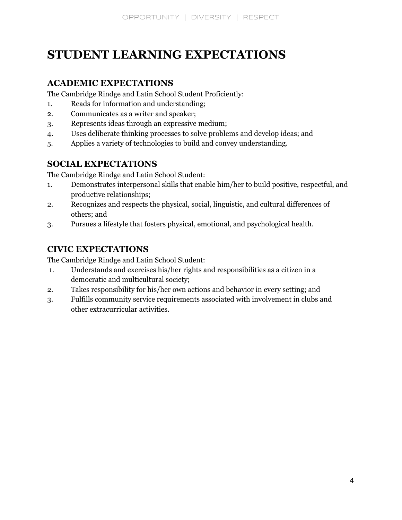## **STUDENT LEARNING EXPECTATIONS**

## **ACADEMIC EXPECTATIONS**

The Cambridge Rindge and Latin School Student Proficiently:

- 1. Reads for information and understanding;
- 2. Communicates as a writer and speaker;
- 3. Represents ideas through an expressive medium;
- 4. Uses deliberate thinking processes to solve problems and develop ideas; and
- 5. Applies a variety of technologies to build and convey understanding.

## **SOCIAL EXPECTATIONS**

The Cambridge Rindge and Latin School Student:

- 1. Demonstrates interpersonal skills that enable him/her to build positive, respectful, and productive relationships;
- 2. Recognizes and respects the physical, social, linguistic, and cultural differences of others; and
- 3. Pursues a lifestyle that fosters physical, emotional, and psychological health.

## **CIVIC EXPECTATIONS**

The Cambridge Rindge and Latin School Student:

- 1. Understands and exercises his/her rights and responsibilities as a citizen in a democratic and multicultural society;
- 2. Takes responsibility for his/her own actions and behavior in every setting; and
- 3. Fulfills community service requirements associated with involvement in clubs and other extracurricular activities.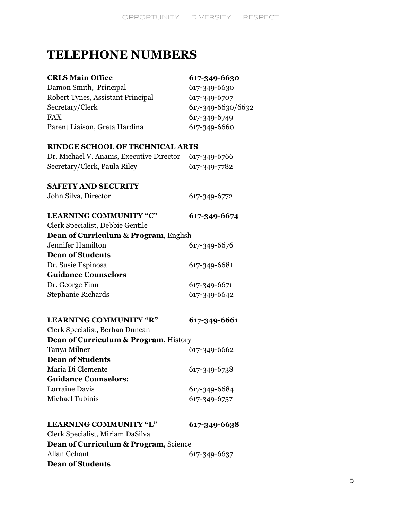## **TELEPHONE NUMBERS**

| <b>CRLS Main Office</b>                   | 617-349-6630                 |  |  |
|-------------------------------------------|------------------------------|--|--|
| Damon Smith, Principal                    | 617-349-6630<br>617-349-6707 |  |  |
| Robert Tynes, Assistant Principal         |                              |  |  |
| Secretary/Clerk                           | 617-349-6630/6632            |  |  |
| <b>FAX</b>                                | 617-349-6749                 |  |  |
| Parent Liaison, Greta Hardina             | 617-349-6660                 |  |  |
| <b>RINDGE SCHOOL OF TECHNICAL ARTS</b>    |                              |  |  |
| Dr. Michael V. Ananis, Executive Director | 617-349-6766                 |  |  |
| Secretary/Clerk, Paula Riley              | 617-349-7782                 |  |  |
| <b>SAFETY AND SECURITY</b>                |                              |  |  |
| John Silva, Director                      | 617-349-6772                 |  |  |
| <b>LEARNING COMMUNITY "C"</b>             | 617-349-6674                 |  |  |
| Clerk Specialist, Debbie Gentile          |                              |  |  |
| Dean of Curriculum & Program, English     |                              |  |  |
| Jennifer Hamilton                         | 617-349-6676                 |  |  |
| <b>Dean of Students</b>                   |                              |  |  |
| Dr. Susie Espinosa                        | 617-349-6681                 |  |  |
| <b>Guidance Counselors</b>                |                              |  |  |
| Dr. George Finn                           | 617-349-6671                 |  |  |
| <b>Stephanie Richards</b>                 | 617-349-6642                 |  |  |
| <b>LEARNING COMMUNITY "R"</b>             | 617-349-6661                 |  |  |
| Clerk Specialist, Berhan Duncan           |                              |  |  |
| Dean of Curriculum & Program, History     |                              |  |  |
| Tanya Milner                              | 617-349-6662                 |  |  |
| <b>Dean of Students</b>                   |                              |  |  |
| Maria Di Clemente                         | 617-349-6738                 |  |  |
| <b>Guidance Counselors:</b>               |                              |  |  |
| Lorraine Davis                            | 617-349-6684                 |  |  |
| Michael Tubinis                           | 617-349-6757                 |  |  |
| <b>LEARNING COMMUNITY "L"</b>             | 617-349-6638                 |  |  |
| Clerk Specialist, Miriam DaSilva          |                              |  |  |
| Dean of Curriculum & Program, Science     |                              |  |  |
| <b>Allan Gehant</b>                       | 617-349-6637                 |  |  |
| <b>Dean of Students</b>                   |                              |  |  |
|                                           |                              |  |  |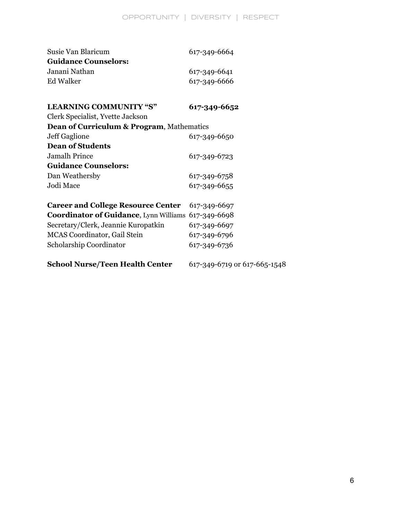| Susie Van Blaricum                                   | 617-349-6664                 |  |
|------------------------------------------------------|------------------------------|--|
| <b>Guidance Counselors:</b>                          |                              |  |
| Janani Nathan                                        | 617-349-6641                 |  |
| <b>Ed Walker</b>                                     | 617-349-6666                 |  |
|                                                      |                              |  |
| <b>LEARNING COMMUNITY "S"</b>                        | 617-349-6652                 |  |
| Clerk Specialist, Yvette Jackson                     |                              |  |
| <b>Dean of Curriculum &amp; Program, Mathematics</b> |                              |  |
| Jeff Gaglione                                        | 617-349-6650                 |  |
| <b>Dean of Students</b>                              |                              |  |
| <b>Jamalh Prince</b>                                 | 617-349-6723                 |  |
| <b>Guidance Counselors:</b>                          |                              |  |
| Dan Weathersby                                       | 617-349-6758                 |  |
| Jodi Mace                                            | 617-349-6655                 |  |
|                                                      |                              |  |
| <b>Career and College Resource Center</b>            | 617-349-6697                 |  |
| Coordinator of Guidance, Lynn Williams 617-349-6698  |                              |  |
| Secretary/Clerk, Jeannie Kuropatkin                  | 617-349-6697                 |  |
| <b>MCAS</b> Coordinator, Gail Stein                  | 617-349-6796                 |  |
| Scholarship Coordinator                              | 617-349-6736                 |  |
|                                                      |                              |  |
| <b>School Nurse/Teen Health Center</b>               | 617-349-6719 or 617-665-1548 |  |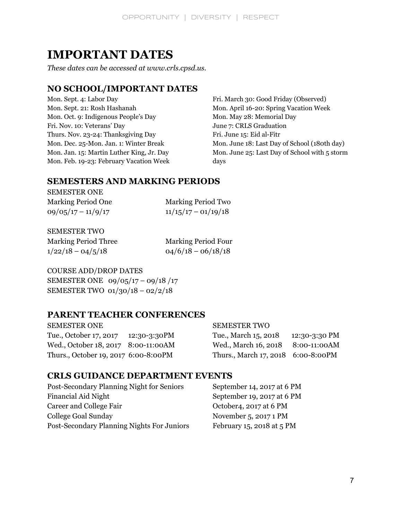## **IMPORTANT DATES**

*These dates can be accessed at www.crls.cpsd.us.*

## **NO SCHOOL/IMPORTANT DATES**

Mon. Sept. 4: Labor Day Mon. Sept. 21: Rosh Hashanah Mon. Oct. 9: Indigenous People's Day Fri. Nov. 10: Veterans' Day Thurs. Nov. 23-24: Thanksgiving Day Mon. Dec. 25-Mon. Jan. 1: Winter Break Mon. Jan. 15: Martin Luther King, Jr. Day Mon. Feb. 19-23: February Vacation Week

Fri. March 30: Good Friday (Observed) Mon. April 16-20: Spring Vacation Week Mon. May 28: Memorial Day June 7: CRLS Graduation Fri. June 15: Eid al-Fitr Mon. June 18: Last Day of School (180th day) Mon. June 25: Last Day of School with 5 storm days

## **SEMESTERS AND MARKING PERIODS**

SEMESTER ONE

Marking Period One Marking Period Two  $09/05/17 - 11/9/17$   $11/15/17 - 01/19/18$ 

SEMESTER TWO

Marking Period Three Marking Period Four  $1/22/18 - 04/5/18$  04/6/18 – 06/18/18

COURSE ADD/DROP DATES SEMESTER ONE 09/05/17 – 09/18 /17 SEMESTER TWO 01/30/18 – 02/2/18

## **PARENT TEACHER CONFERENCES**

| <b>SEMESTER ONE</b>                  | <b>SEMESTER TWO</b>                |               |
|--------------------------------------|------------------------------------|---------------|
| Tue., October 17, 2017 12:30-3:30PM  | Tue., March 15, 2018               | 12:30-3:30 PM |
| Wed., October 18, 2017 8:00-11:00AM  | Wed., March 16, 2018 8:00-11:00 AM |               |
| Thurs., October 19, 2017 6:00-8:00PM | Thurs., March 17, 2018 6:00-8:00PM |               |

## **CRLS GUIDANCE DEPARTMENT EVENTS**

Post-Secondary Planning Night for Seniors September 14, 2017 at 6 PM Financial Aid Night September 19, 2017 at 6 PM Career and College Fair Career and College Fair Corober4, 2017 at 6 PM College Goal Sunday November 5, 2017 1 PM Post-Secondary Planning Nights For Juniors February 15, 2018 at 5 PM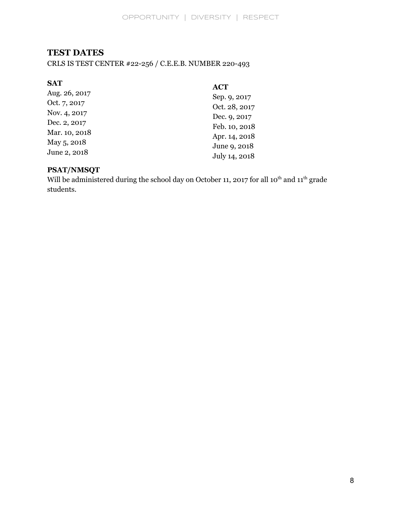## **TEST DATES**

CRLS IS TEST CENTER #22-256 / C.E.E.B. NUMBER 220-493

| <b>SAT</b>    | <b>ACT</b>    |
|---------------|---------------|
| Aug. 26, 2017 | Sep. 9, 2017  |
| Oct. 7, 2017  | Oct. 28, 2017 |
| Nov. 4, 2017  | Dec. 9, 2017  |
| Dec. 2, 2017  | Feb. 10, 2018 |
| Mar. 10, 2018 | Apr. 14, 2018 |
| May 5, 2018   | June 9, 2018  |
| June 2, 2018  |               |
|               | July 14, 2018 |

## **PSAT/NMSQT**

Will be administered during the school day on October 11, 2017 for all  $10^{th}$  and  $11^{th}$  grade students.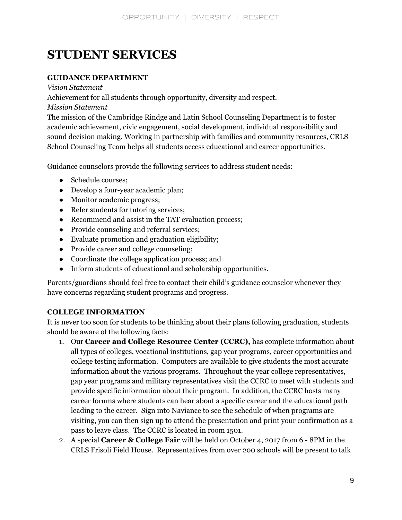## **STUDENT SERVICES**

## **GUIDANCE DEPARTMENT**

*Vision Statement*

Achievement for all students through opportunity, diversity and respect.

*Mission Statement*

The mission of the Cambridge Rindge and Latin School Counseling Department is to foster academic achievement, civic engagement, social development, individual responsibility and sound decision making. Working in partnership with families and community resources, CRLS School Counseling Team helps all students access educational and career opportunities.

Guidance counselors provide the following services to address student needs:

- Schedule courses;
- Develop a four-year academic plan;
- Monitor academic progress;
- Refer students for tutoring services;
- Recommend and assist in the TAT evaluation process;
- Provide counseling and referral services;
- Evaluate promotion and graduation eligibility;
- Provide career and college counseling;
- Coordinate the college application process; and
- Inform students of educational and scholarship opportunities.

Parents/guardians should feel free to contact their child's guidance counselor whenever they have concerns regarding student programs and progress.

## **COLLEGE INFORMATION**

It is never too soon for students to be thinking about their plans following graduation, students should be aware of the following facts:

- 1. Our **Career and College Resource Center (CCRC),** has complete information about all types of colleges, vocational institutions, gap year programs, career opportunities and college testing information. Computers are available to give students the most accurate information about the various programs. Throughout the year college representatives, gap year programs and military representatives visit the CCRC to meet with students and provide specific information about their program. In addition, the CCRC hosts many career forums where students can hear about a specific career and the educational path leading to the career. Sign into Naviance to see the schedule of when programs are visiting, you can then sign up to attend the presentation and print your confirmation as a pass to leave class. The CCRC is located in room 1501.
- 2. A special **Career & College Fair** will be held on October 4, 2017 from 6 8PM in the CRLS Frisoli Field House. Representatives from over 200 schools will be present to talk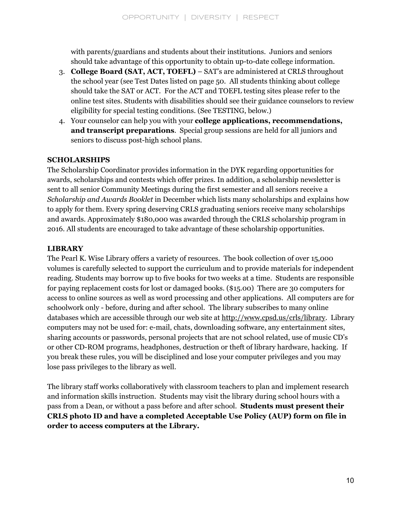with parents/guardians and students about their institutions. Juniors and seniors should take advantage of this opportunity to obtain up-to-date college information.

- 3. **College Board (SAT, ACT, TOEFL)** SAT's are administered at CRLS throughout the school year (see Test Dates listed on page 50. All students thinking about college should take the SAT or ACT. For the ACT and TOEFL testing sites please refer to the online test sites. Students with disabilities should see their guidance counselors to review eligibility for special testing conditions. (See TESTING, below.)
- 4. Your counselor can help you with your **college applications, recommendations, and transcript preparations**. Special group sessions are held for all juniors and seniors to discuss post-high school plans.

## **SCHOLARSHIPS**

The Scholarship Coordinator provides information in the DYK regarding opportunities for awards, scholarships and contests which offer prizes. In addition, a scholarship newsletter is sent to all senior Community Meetings during the first semester and all seniors receive a *Scholarship and Awards Booklet* in December which lists many scholarships and explains how to apply for them. Every spring deserving CRLS graduating seniors receive many scholarships and awards. Approximately \$180,000 was awarded through the CRLS scholarship program in 2016. All students are encouraged to take advantage of these scholarship opportunities.

## **LIBRARY**

The Pearl K. Wise Library offers a variety of resources. The book collection of over 15,000 volumes is carefully selected to support the curriculum and to provide materials for independent reading. Students may borrow up to five books for two weeks at a time. Students are responsible for paying replacement costs for lost or damaged books. (\$15.00) There are 30 computers for access to online sources as well as word processing and other applications. All computers are for schoolwork only - before, during and after school. The library subscribes to many online databases which are accessible through our web site at http://www.cpsd.us/crls/library. Library computers may not be used for: e-mail, chats, downloading software, any entertainment sites, sharing accounts or passwords, personal projects that are not school related, use of music CD's or other CD-ROM programs, headphones, destruction or theft of library hardware, hacking. If you break these rules, you will be disciplined and lose your computer privileges and you may lose pass privileges to the library as well.

The library staff works collaboratively with classroom teachers to plan and implement research and information skills instruction. Students may visit the library during school hours with a pass from a Dean, or without a pass before and after school. **Students must present their CRLS photo ID and have a completed Acceptable Use Policy (AUP) form on file in order to access computers at the Library.**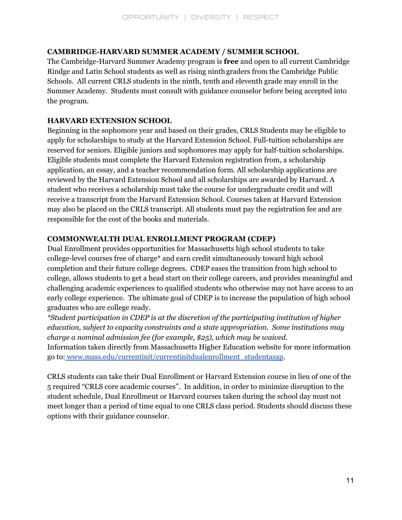## **CAMBRIDGE-HARVARD SUMMER ACADEMY / SUMMER SCHOOL**

The Cambridge-Harvard Summer Academy program is **free** and open to all current Cambridge Rindge and Latin School students as well as rising ninthgraders from the Cambridge Public Schools. All current CRLS students in the ninth, tenth and eleventh grade may enroll in the Summer Academy. Students must consult with guidance counselor before being accepted into the program.

## **HARVARD EXTENSION SCHOOL**

Beginning in the sophomore year and based on their grades, CRLS Students may be eligible to apply for scholarships to study at the Harvard Extension School. Full-tuition scholarships are reserved for seniors. Eligible juniors and sophomores may apply for half-tuition scholarships. Eligible students must complete the Harvard Extension registration from, a scholarship application, an essay, and a teacher recommendation form. All scholarship applications are reviewed by the Harvard Extension School and all scholarships are awarded by Harvard. A student who receives a scholarship must take the course for undergraduate credit and will receive a transcript from the Harvard Extension School. Courses taken at Harvard Extension may also be placed on the CRLS transcript. All students must pay the registration fee and are responsible for the cost of the books and materials.

## **COMMONWEALTH DUAL ENROLLMENT PROGRAM (CDEP)**

Dual Enrollment provides opportunities for Massachusetts high school students to take college-level courses free of charge\* and earn credit simultaneously toward high school completion and their future college degrees. CDEP eases the transition from high school to college, allows students to get a head start on their college careers, and provides meaningful and challenging academic experiences to qualified students who otherwise may not have access to an early college experience. The ultimate goal of CDEP is to increase the population of high school graduates who are college ready.

*\*Student participation in CDEP is at the discretion of the participating institution of higher education, subject to capacity constraints and a state appropriation. Some institutions may charge a nominal admission fee (for example, \$25), which may be waived.* Information taken directly from Massachusetts Higher Education website for more information go to: [www.mass.edu/currentinit/currentinitdualenrollment\\_studentasap](http://www.mass.edu/currentinit/currentinitdualenrollment_studentasap).

CRLS students can take their Dual Enrollment or Harvard Extension course in lieu of one of the 5 required "CRLS core academic courses". In addition, in order to minimize disruption to the student schedule, Dual Enrollment or Harvard courses taken during the school day must not meet longer than a period of time equal to one CRLS class period. Students should discuss these options with their guidance counselor.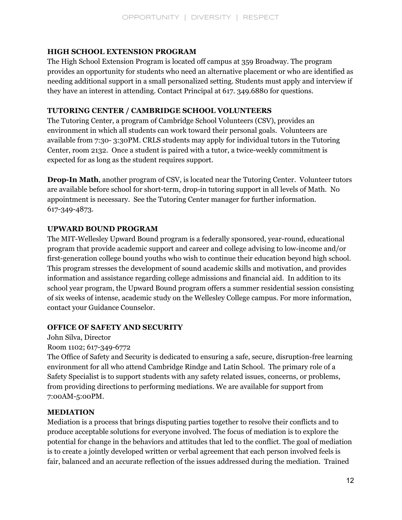## **HIGH SCHOOL EXTENSION PROGRAM**

The High School Extension Program is located off campus at 359 Broadway. The program provides an opportunity for students who need an alternative placement or who are identified as needing additional support in a small personalized setting. Students must apply and interview if they have an interest in attending. Contact Principal at 617. 349.6880 for questions.

## **TUTORING CENTER / CAMBRIDGE SCHOOL VOLUNTEERS**

The Tutoring Center, a program of Cambridge School Volunteers (CSV), provides an environment in which all students can work toward their personal goals. Volunteers are available from 7:30- 3:30PM. CRLS students may apply for individual tutors in the Tutoring Center, room 2132. Once a student is paired with a tutor, a twice-weekly commitment is expected for as long as the student requires support.

**Drop-In Math**, another program of CSV, is located near the Tutoring Center. Volunteer tutors are available before school for short-term, drop-in tutoring support in all levels of Math. No appointment is necessary. See the Tutoring Center manager for further information. 617-349-4873.

## **UPWARD BOUND PROGRAM**

The MIT-Wellesley Upward Bound program is a federally sponsored, year-round, educational program that provide academic support and career and college advising to low-income and/or first-generation college bound youths who wish to continue their education beyond high school. This program stresses the development of sound academic skills and motivation, and provides information and assistance regarding college admissions and financial aid. In addition to its school year program, the Upward Bound program offers a summer residential session consisting of six weeks of intense, academic study on the Wellesley College campus. For more information, contact your Guidance Counselor.

## **OFFICE OF SAFETY AND SECURITY**

John Silva, Director

Room 1102; 617-349-6772

The Office of Safety and Security is dedicated to ensuring a safe, secure, disruption-free learning environment for all who attend Cambridge Rindge and Latin School. The primary role of a Safety Specialist is to support students with any safety related issues, concerns, or problems, from providing directions to performing mediations. We are available for support from 7:00AM-5:00PM.

## **MEDIATION**

Mediation is a process that brings disputing parties together to resolve their conflicts and to produce acceptable solutions for everyone involved. The focus of mediation is to explore the potential for change in the behaviors and attitudes that led to the conflict. The goal of mediation is to create a jointly developed written or verbal agreement that each person involved feels is fair, balanced and an accurate reflection of the issues addressed during the mediation. Trained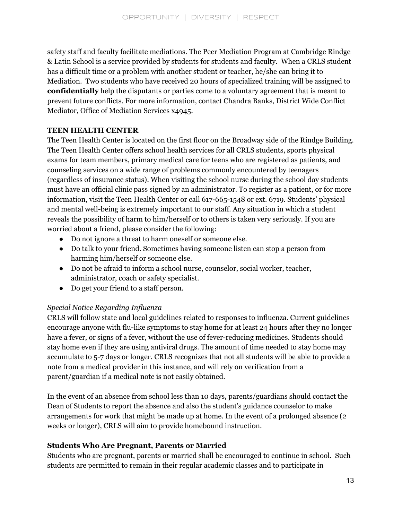safety staff and faculty facilitate mediations. The Peer Mediation Program at Cambridge Rindge & Latin School is a service provided by students for students and faculty. When a CRLS student has a difficult time or a problem with another student or teacher, he/she can bring it to Mediation. Two students who have received 20 hours of specialized training will be assigned to **confidentially** help the disputants or parties come to a voluntary agreement that is meant to prevent future conflicts. For more information, contact Chandra Banks, District Wide Conflict Mediator, Office of Mediation Services x4945.

## **TEEN HEALTH CENTER**

The Teen Health Center is located on the first floor on the Broadway side of the Rindge Building. The Teen Health Center offers school health services for all CRLS students, sports physical exams for team members, primary medical care for teens who are registered as patients, and counseling services on a wide range of problems commonly encountered by teenagers (regardless of insurance status). When visiting the school nurse during the school day students must have an official clinic pass signed by an administrator. To register as a patient, or for more information, visit the Teen Health Center or call 617-665-1548 or ext. 6719. Students' physical and mental well-being is extremely important to our staff. Any situation in which a student reveals the possibility of harm to him/herself or to others is taken very seriously. If you are worried about a friend, please consider the following:

- Do not ignore a threat to harm oneself or someone else.
- Do talk to your friend. Sometimes having someone listen can stop a person from harming him/herself or someone else.
- Do not be afraid to inform a school nurse, counselor, social worker, teacher, administrator, coach or safety specialist.
- Do get your friend to a staff person.

## *Special Notice Regarding Influenza*

CRLS will follow state and local guidelines related to responses to influenza. Current guidelines encourage anyone with flu-like symptoms to stay home for at least 24 hours after they no longer have a fever, or signs of a fever, without the use of fever-reducing medicines. Students should stay home even if they are using antiviral drugs. The amount of time needed to stay home may accumulate to 5-7 days or longer. CRLS recognizes that not all students will be able to provide a note from a medical provider in this instance, and will rely on verification from a parent/guardian if a medical note is not easily obtained.

In the event of an absence from school less than 10 days, parents/guardians should contact the Dean of Students to report the absence and also the student's guidance counselor to make arrangements for work that might be made up at home. In the event of a prolonged absence (2 weeks or longer), CRLS will aim to provide homebound instruction.

## **Students Who Are Pregnant, Parents or Married**

Students who are pregnant, parents or married shall be encouraged to continue in school. Such students are permitted to remain in their regular academic classes and to participate in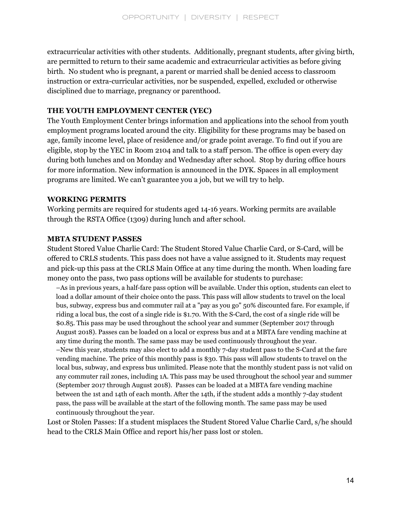extracurricular activities with other students. Additionally, pregnant students, after giving birth, are permitted to return to their same academic and extracurricular activities as before giving birth. No student who is pregnant, a parent or married shall be denied access to classroom instruction or extra-curricular activities, nor be suspended, expelled, excluded or otherwise disciplined due to marriage, pregnancy or parenthood.

## **THE YOUTH EMPLOYMENT CENTER (YEC)**

The Youth Employment Center brings information and applications into the school from youth employment programs located around the city. Eligibility for these programs may be based on age, family income level, place of residence and/or grade point average. To find out if you are eligible, stop by the YEC in Room 2104 and talk to a staff person. The office is open every day during both lunches and on Monday and Wednesday after school. Stop by during office hours for more information. New information is announced in the DYK. Spaces in all employment programs are limited. We can't guarantee you a job, but we will try to help.

#### **WORKING PERMITS**

Working permits are required for students aged 14-16 years. Working permits are available through the RSTA Office (1309) during lunch and after school.

## **MBTA STUDENT PASSES**

Student Stored Value Charlie Card: The Student Stored Value Charlie Card, or S-Card, will be offered to CRLS students. This pass does not have a value assigned to it. Students may request and pick-up this pass at the CRLS Main Office at any time during the month. When loading fare money onto the pass, two pass options will be available for students to purchase:

–As in previous years, a half-fare pass option will be available. Under this option, students can elect to load a dollar amount of their choice onto the pass. This pass will allow students to travel on the local bus, subway, express bus and commuter rail at a "pay as you go" 50% discounted fare. For example, if riding a local bus, the cost of a single ride is \$1.70. With the S-Card, the cost of a single ride will be \$0.85. This pass may be used throughout the school year and summer (September 2017 through August 2018). Passes can be loaded on a local or express bus and at a MBTA fare vending machine at any time during the month. The same pass may be used continuously throughout the year. –New this year, students may also elect to add a monthly 7-day student pass to the S-Card at the fare vending machine. The price of this monthly pass is \$30. This pass will allow students to travel on the local bus, subway, and express bus unlimited. Please note that the monthly student pass is not valid on any commuter rail zones, including 1A. This pass may be used throughout the school year and summer (September 2017 through August 2018). Passes can be loaded at a MBTA fare vending machine between the 1st and 14th of each month. After the 14th, if the student adds a monthly 7-day student pass, the pass will be available at the start of the following month. The same pass may be used continuously throughout the year.

Lost or Stolen Passes: If a student misplaces the Student Stored Value Charlie Card, s/he should head to the CRLS Main Office and report his/her pass lost or stolen.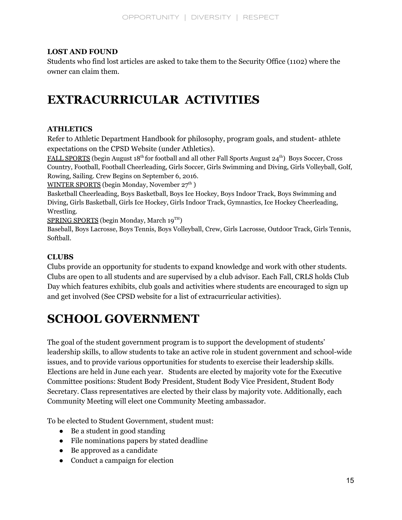## **LOST AND FOUND**

Students who find lost articles are asked to take them to the Security Office (1102) where the owner can claim them.

## **EXTRACURRICULAR ACTIVITIES**

## **ATHLETICS**

Refer to Athletic Department Handbook for philosophy, program goals, and student- athlete expectations on the CPSD Website (under Athletics).

FALL SPORTS (begin August 18 th for football and all other Fall Sports August 24 th) Boys Soccer, Cross Country, Football, Football Cheerleading, Girls Soccer, Girls Swimming and Diving, Girls Volleyball, Golf, Rowing, Sailing. Crew Begins on September 6, 2016.

WINTER SPORTS (begin Monday, November 27<sup>th</sup>)

Basketball Cheerleading, Boys Basketball, Boys Ice Hockey, Boys Indoor Track, Boys Swimming and Diving, Girls Basketball, Girls Ice Hockey, Girls Indoor Track, Gymnastics, Ice Hockey Cheerleading, Wrestling.

SPRING SPORTS (begin Monday, March 19 TH)

Baseball, Boys Lacrosse, Boys Tennis, Boys Volleyball, Crew, Girls Lacrosse, Outdoor Track, Girls Tennis, Softball.

## **CLUBS**

Clubs provide an opportunity for students to expand knowledge and work with other students. Clubs are open to all students and are supervised by a club advisor. Each Fall, CRLS holds Club Day which features exhibits, club goals and activities where students are encouraged to sign up and get involved (See CPSD website for a list of extracurricular activities).

## **SCHOOL GOVERNMENT**

The goal of the student government program is to support the development of students' leadership skills, to allow students to take an active role in student government and school-wide issues, and to provide various opportunities for students to exercise their leadership skills. Elections are held in June each year. Students are elected by majority vote for the Executive Committee positions: Student Body President, Student Body Vice President, Student Body Secretary. Class representatives are elected by their class by majority vote. Additionally, each Community Meeting will elect one Community Meeting ambassador.

To be elected to Student Government, student must:

- Be a student in good standing
- File nominations papers by stated deadline
- Be approved as a candidate
- Conduct a campaign for election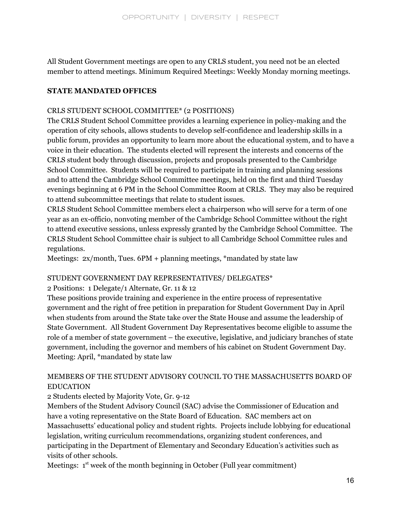All Student Government meetings are open to any CRLS student, you need not be an elected member to attend meetings. Minimum Required Meetings: Weekly Monday morning meetings.

#### **STATE MANDATED OFFICES**

#### CRLS STUDENT SCHOOL COMMITTEE\* (2 POSITIONS)

The CRLS Student School Committee provides a learning experience in policy-making and the operation of city schools, allows students to develop self-confidence and leadership skills in a public forum, provides an opportunity to learn more about the educational system, and to have a voice in their education. The students elected will represent the interests and concerns of the CRLS student body through discussion, projects and proposals presented to the Cambridge School Committee. Students will be required to participate in training and planning sessions and to attend the Cambridge School Committee meetings, held on the first and third Tuesday evenings beginning at 6 PM in the School Committee Room at CRLS. They may also be required to attend subcommittee meetings that relate to student issues.

CRLS Student School Committee members elect a chairperson who will serve for a term of one year as an ex-officio, nonvoting member of the Cambridge School Committee without the right to attend executive sessions, unless expressly granted by the Cambridge School Committee. The CRLS Student School Committee chair is subject to all Cambridge School Committee rules and regulations.

Meetings:  $2x/$  month, Tues.  $6PM +$  planning meetings, \*mandated by state law

#### STUDENT GOVERNMENT DAY REPRESENTATIVES/ DELEGATES\*

2 Positions: 1 Delegate/1 Alternate, Gr. 11 & 12

These positions provide training and experience in the entire process of representative government and the right of free petition in preparation for Student Government Day in April when students from around the State take over the State House and assume the leadership of State Government. All Student Government Day Representatives become eligible to assume the role of a member of state government – the executive, legislative, and judiciary branches of state government, including the governor and members of his cabinet on Student Government Day. Meeting: April, \*mandated by state law

## MEMBERS OF THE STUDENT ADVISORY COUNCIL TO THE MASSACHUSETTS BOARD OF EDUCATION

2 Students elected by Majority Vote, Gr. 9-12

Members of the Student Advisory Council (SAC) advise the Commissioner of Education and have a voting representative on the State Board of Education. SAC members act on Massachusetts' educational policy and student rights. Projects include lobbying for educational legislation, writing curriculum recommendations, organizing student conferences, and participating in the Department of Elementary and Secondary Education's activities such as visits of other schools.

Meetings: 1<sup>st</sup> week of the month beginning in October (Full year commitment)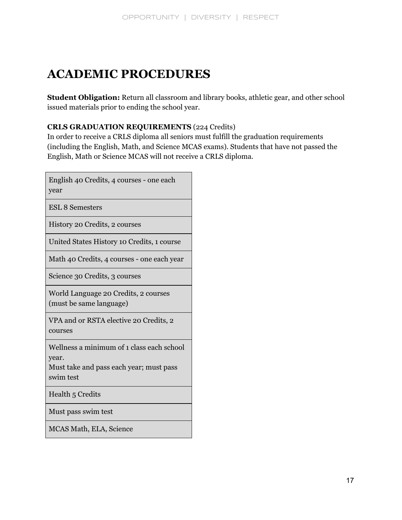## **ACADEMIC PROCEDURES**

**Student Obligation:** Return all classroom and library books, athletic gear, and other school issued materials prior to ending the school year.

## **CRLS GRADUATION REQUIREMENTS** (224 Credits)

In order to receive a CRLS diploma all seniors must fulfill the graduation requirements (including the English, Math, and Science MCAS exams). Students that have not passed the English, Math or Science MCAS will not receive a CRLS diploma.

| English 40 Credits, 4 courses - one each<br>year                                                           |
|------------------------------------------------------------------------------------------------------------|
| <b>ESL 8 Semesters</b>                                                                                     |
| History 20 Credits, 2 courses                                                                              |
| United States History 10 Credits, 1 course                                                                 |
| Math 40 Credits, 4 courses - one each year                                                                 |
| Science 30 Credits, 3 courses                                                                              |
| World Language 20 Credits, 2 courses<br>(must be same language)                                            |
| VPA and or RSTA elective 20 Credits, 2<br>courses                                                          |
| Wellness a minimum of 1 class each school<br>year.<br>Must take and pass each year; must pass<br>swim test |
| Health 5 Credits                                                                                           |
| Must pass swim test                                                                                        |
| MCAS Math, ELA, Science                                                                                    |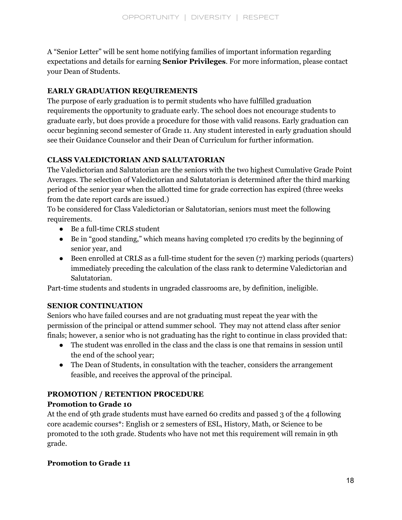A "Senior Letter" will be sent home notifying families of important information regarding expectations and details for earning **Senior Privileges**. For more information, please contact your Dean of Students.

## **EARLY GRADUATION REQUIREMENTS**

The purpose of early graduation is to permit students who have fulfilled graduation requirements the opportunity to graduate early. The school does not encourage students to graduate early, but does provide a procedure for those with valid reasons. Early graduation can occur beginning second semester of Grade 11. Any student interested in early graduation should see their Guidance Counselor and their Dean of Curriculum for further information.

## **CLASS VALEDICTORIAN AND SALUTATORIAN**

The Valedictorian and Salutatorian are the seniors with the two highest Cumulative Grade Point Averages. The selection of Valedictorian and Salutatorian is determined after the third marking period of the senior year when the allotted time for grade correction has expired (three weeks from the date report cards are issued.)

To be considered for Class Valedictorian or Salutatorian, seniors must meet the following requirements.

- Be a full-time CRLS student
- Be in "good standing," which means having completed 170 credits by the beginning of senior year, and
- Been enrolled at CRLS as a full-time student for the seven (7) marking periods (quarters) immediately preceding the calculation of the class rank to determine Valedictorian and Salutatorian.

Part-time students and students in ungraded classrooms are, by definition, ineligible.

## **SENIOR CONTINUATION**

Seniors who have failed courses and are not graduating must repeat the year with the permission of the principal or attend summer school. They may not attend class after senior finals; however, a senior who is not graduating has the right to continue in class provided that:

- The student was enrolled in the class and the class is one that remains in session until the end of the school year;
- The Dean of Students, in consultation with the teacher, considers the arrangement feasible, and receives the approval of the principal.

## **PROMOTION / RETENTION PROCEDURE**

## **Promotion to Grade 10**

At the end of 9th grade students must have earned 60 credits and passed 3 of the 4 following core academic courses\*: English or 2 semesters of ESL, History, Math, or Science to be promoted to the 10th grade. Students who have not met this requirement will remain in 9th grade.

## **Promotion to Grade 11**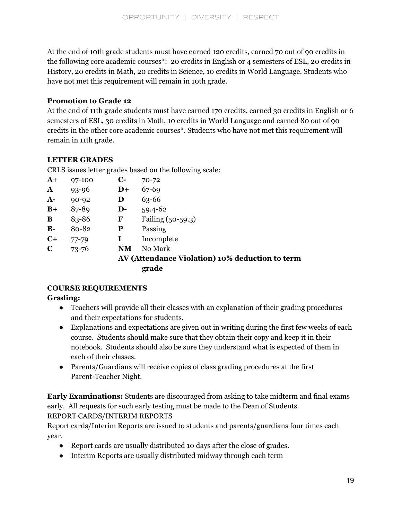At the end of 10th grade students must have earned 120 credits, earned 70 out of 90 credits in the following core academic courses\*: 20 credits in English or 4 semesters of ESL, 20 credits in History, 20 credits in Math, 20 credits in Science, 10 credits in World Language. Students who have not met this requirement will remain in 10th grade.

## **Promotion to Grade 12**

At the end of 11th grade students must have earned 170 credits, earned 30 credits in English or 6 semesters of ESL, 30 credits in Math, 10 credits in World Language and earned 80 out of 90 credits in the other core academic courses\*. Students who have not met this requirement will remain in 11th grade.

## **LETTER GRADES**

CRLS issues letter grades based on the following scale:

| $A+$         | 97-100    | $\mathbf{C}$ - | $70 - 72$                                       |
|--------------|-----------|----------------|-------------------------------------------------|
| $\mathbf{A}$ | $93 - 96$ | $D+$           | 67-69                                           |
| $A-$         | $90 - 92$ | D              | 63-66                                           |
| $B+$         | 87-89     | $\mathbf{D}$ - | $59.4 - 62$                                     |
| B            | 83-86     | F              | Failing (50-59.3)                               |
| $B-$         | 80-82     | P              | Passing                                         |
| $C+$         | $77 - 79$ | I              | Incomplete                                      |
| $\mathbf C$  | $73 - 76$ | NM             | No Mark                                         |
|              |           |                | AV (Attendance Violation) 10% deduction to term |
|              |           |                | grade                                           |

## **COURSE REQUIREMENTS**

## **Grading:**

- Teachers will provide all their classes with an explanation of their grading procedures and their expectations for students.
- Explanations and expectations are given out in writing during the first few weeks of each course. Students should make sure that they obtain their copy and keep it in their notebook. Students should also be sure they understand what is expected of them in each of their classes.
- Parents/Guardians will receive copies of class grading procedures at the first Parent-Teacher Night.

**Early Examinations:** Students are discouraged from asking to take midterm and final exams early. All requests for such early testing must be made to the Dean of Students. REPORT CARDS/INTERIM REPORTS

Report cards/Interim Reports are issued to students and parents/guardians four times each year.

- Report cards are usually distributed 10 days after the close of grades.
- Interim Reports are usually distributed midway through each term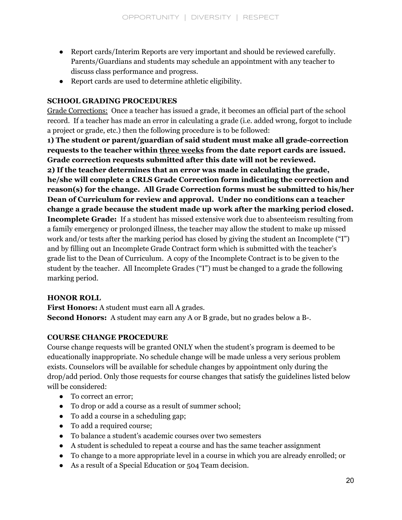- Report cards/Interim Reports are very important and should be reviewed carefully. Parents/Guardians and students may schedule an appointment with any teacher to discuss class performance and progress.
- Report cards are used to determine athletic eligibility.

## **SCHOOL GRADING PROCEDURES**

Grade Corrections: Once a teacher has issued a grade, it becomes an official part of the school record. If a teacher has made an error in calculating a grade (i.e. added wrong, forgot to include a project or grade, etc.) then the following procedure is to be followed:

**1) The student or parent/guardian of said student must make all grade-correction requests to the teacher within three weeks from the date report cards are issued. Grade correction requests submitted after this date will not be reviewed. 2) If the teacher determines that an error was made in calculating the grade, he/she will complete a CRLS Grade Correction form indicating the correction and reason(s) for the change. All Grade Correction forms must be submitted to his/her Dean of Curriculum for review and approval. Under no conditions can a teacher change a grade because the student made up work after the marking period closed. Incomplete Grade:** If a student has missed extensive work due to absenteeism resulting from a family emergency or prolonged illness, the teacher may allow the student to make up missed work and/or tests after the marking period has closed by giving the student an Incomplete ("I") and by filling out an Incomplete Grade Contract form which is submitted with the teacher's grade list to the Dean of Curriculum. A copy of the Incomplete Contract is to be given to the student by the teacher. All Incomplete Grades ("I") must be changed to a grade the following marking period.

## **HONOR ROLL**

**First Honors:** A student must earn all A grades. **Second Honors:** A student may earn any A or B grade, but no grades below a B-.

## **COURSE CHANGE PROCEDURE**

Course change requests will be granted ONLY when the student's program is deemed to be educationally inappropriate. No schedule change will be made unless a very serious problem exists. Counselors will be available for schedule changes by appointment only during the drop/add period. Only those requests for course changes that satisfy the guidelines listed below will be considered:

- To correct an error;
- To drop or add a course as a result of summer school;
- To add a course in a scheduling gap;
- To add a required course;
- To balance a student's academic courses over two semesters
- A student is scheduled to repeat a course and has the same teacher assignment
- To change to a more appropriate level in a course in which you are already enrolled; or
- As a result of a Special Education or 504 Team decision.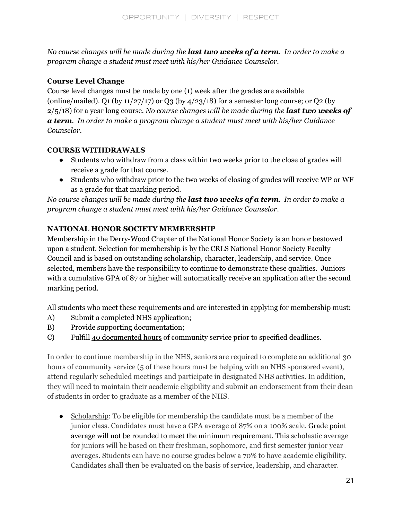No course changes will be made during the **last two weeks of a term**. In order to make a *program change a student must meet with his/her Guidance Counselor.*

## **Course Level Change**

Course level changes must be made by one (1) week after the grades are available (online/mailed). Q1 (by  $11/27/17$ ) or Q3 (by  $4/23/18$ ) for a semester long course; or Q2 (by 2/5/18) for a year long course. *No course changes will be made during the last two weeks of a term. In order to make a program change a student must meet with his/her Guidance Counselor.*

## **COURSE WITHDRAWALS**

- Students who withdraw from a class within two weeks prior to the close of grades will receive a grade for that course.
- Students who withdraw prior to the two weeks of closing of grades will receive WP or WF as a grade for that marking period.

No course changes will be made during the last two weeks of a term. In order to make a *program change a student must meet with his/her Guidance Counselor*.

## **NATIONAL HONOR SOCIETY MEMBERSHIP**

Membership in the Derry-Wood Chapter of the National Honor Society is an honor bestowed upon a student. Selection for membership is by the CRLS National Honor Society Faculty Council and is based on outstanding scholarship, character, leadership, and service. Once selected, members have the responsibility to continue to demonstrate these qualities. Juniors with a cumulative GPA of 87 or higher will automatically receive an application after the second marking period.

All students who meet these requirements and are interested in applying for membership must:

- A) Submit a completed NHS application;
- B) Provide supporting documentation;
- C) Fulfill 40 documented hours of community service prior to specified deadlines.

In order to continue membership in the NHS, seniors are required to complete an additional 30 hours of community service (5 of these hours must be helping with an NHS sponsored event), attend regularly scheduled meetings and participate in designated NHS activities. In addition, they will need to maintain their academic eligibility and submit an endorsement from their dean of students in order to graduate as a member of the NHS.

● Scholarship: To be eligible for membership the candidate must be a member of the junior class. Candidates must have a GPA average of 87% on a 100% scale. Grade point average will not be rounded to meet the minimum requirement. This scholastic average for juniors will be based on their freshman, sophomore, and first semester junior year averages. Students can have no course grades below a 70% to have academic eligibility. Candidates shall then be evaluated on the basis of service, leadership, and character.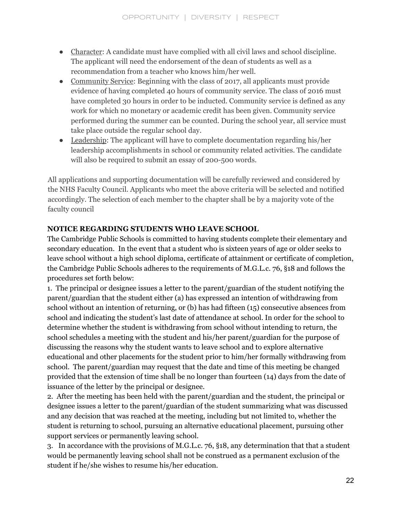- Character: A candidate must have complied with all civil laws and school discipline. The applicant will need the endorsement of the dean of students as well as a recommendation from a teacher who knows him/her well.
- Community Service: Beginning with the class of 2017, all applicants must provide evidence of having completed 40 hours of community service. The class of 2016 must have completed 30 hours in order to be inducted. Community service is defined as any work for which no monetary or academic credit has been given. Community service performed during the summer can be counted. During the school year, all service must take place outside the regular school day.
- Leadership: The applicant will have to complete documentation regarding his/her leadership accomplishments in school or community related activities. The candidate will also be required to submit an essay of 200-500 words.

All applications and supporting documentation will be carefully reviewed and considered by the NHS Faculty Council. Applicants who meet the above criteria will be selected and notified accordingly. The selection of each member to the chapter shall be by a majority vote of the faculty council

## **NOTICE REGARDING STUDENTS WHO LEAVE SCHOOL**

The Cambridge Public Schools is committed to having students complete their elementary and secondary education. In the event that a student who is sixteen years of age or older seeks to leave school without a high school diploma, certificate of attainment or certificate of completion, the Cambridge Public Schools adheres to the requirements of M.G.L.c. 76, §18 and follows the procedures set forth below:

1. The principal or designee issues a letter to the parent/guardian of the student notifying the parent/guardian that the student either (a) has expressed an intention of withdrawing from school without an intention of returning, or (b) has had fifteen (15) consecutive absences from school and indicating the student's last date of attendance at school. In order for the school to determine whether the student is withdrawing from school without intending to return, the school schedules a meeting with the student and his/her parent/guardian for the purpose of discussing the reasons why the student wants to leave school and to explore alternative educational and other placements for the student prior to him/her formally withdrawing from school. The parent/guardian may request that the date and time of this meeting be changed provided that the extension of time shall be no longer than fourteen (14) days from the date of issuance of the letter by the principal or designee.

2. After the meeting has been held with the parent/guardian and the student, the principal or designee issues a letter to the parent/guardian of the student summarizing what was discussed and any decision that was reached at the meeting, including but not limited to, whether the student is returning to school, pursuing an alternative educational placement, pursuing other support services or permanently leaving school.

3. In accordance with the provisions of M.G.L.c. 76, §18, any determination that that a student would be permanently leaving school shall not be construed as a permanent exclusion of the student if he/she wishes to resume his/her education.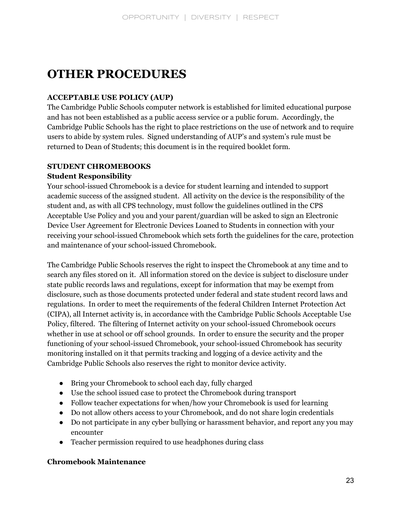## **OTHER PROCEDURES**

## **ACCEPTABLE USE POLICY (AUP)**

The Cambridge Public Schools computer network is established for limited educational purpose and has not been established as a public access service or a public forum. Accordingly, the Cambridge Public Schools has the right to place restrictions on the use of network and to require users to abide by system rules. Signed understanding of AUP's and system's rule must be returned to Dean of Students; this document is in the required booklet form.

## **STUDENT CHROMEBOOKS**

## **Student Responsibility**

Your school-issued Chromebook is a device for student learning and intended to support academic success of the assigned student. All activity on the device is the responsibility of the student and, as with all CPS technology, must follow the guidelines outlined in the CPS Acceptable Use Policy and you and your parent/guardian will be asked to sign an Electronic Device User Agreement for Electronic Devices Loaned to Students in connection with your receiving your school-issued Chromebook which sets forth the guidelines for the care, protection and maintenance of your school-issued Chromebook.

The Cambridge Public Schools reserves the right to inspect the Chromebook at any time and to search any files stored on it. All information stored on the device is subject to disclosure under state public records laws and regulations, except for information that may be exempt from disclosure, such as those documents protected under federal and state student record laws and regulations. In order to meet the requirements of the federal Children Internet Protection Act (CIPA), all Internet activity is, in accordance with the Cambridge Public Schools Acceptable Use Policy, filtered. The filtering of Internet activity on your school-issued Chromebook occurs whether in use at school or off school grounds. In order to ensure the security and the proper functioning of your school-issued Chromebook, your school-issued Chromebook has security monitoring installed on it that permits tracking and logging of a device activity and the Cambridge Public Schools also reserves the right to monitor device activity.

- Bring your Chromebook to school each day, fully charged
- Use the school issued case to protect the Chromebook during transport
- Follow teacher expectations for when/how your Chromebook is used for learning
- Do not allow others access to your Chromebook, and do not share login credentials
- Do not participate in any cyber bullying or harassment behavior, and report any you may encounter
- Teacher permission required to use headphones during class

## **Chromebook Maintenance**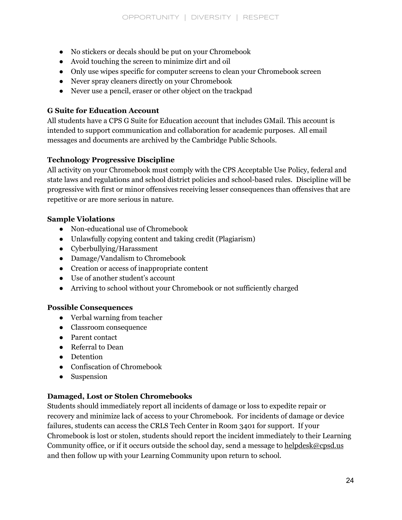- No stickers or decals should be put on your Chromebook
- Avoid touching the screen to minimize dirt and oil
- Only use wipes specific for computer screens to clean your Chromebook screen
- Never spray cleaners directly on your Chromebook
- Never use a pencil, eraser or other object on the trackpad

## **G Suite for Education Account**

All students have a CPS G Suite for Education account that includes GMail. This account is intended to support communication and collaboration for academic purposes. All email messages and documents are archived by the Cambridge Public Schools.

## **Technology Progressive Discipline**

All activity on your Chromebook must comply with the CPS Acceptable Use Policy, federal and state laws and regulations and school district policies and school-based rules. Discipline will be progressive with first or minor offensives receiving lesser consequences than offensives that are repetitive or are more serious in nature.

## **Sample Violations**

- Non-educational use of Chromebook
- Unlawfully copying content and taking credit (Plagiarism)
- Cyberbullying/Harassment
- Damage/Vandalism to Chromebook
- Creation or access of inappropriate content
- Use of another student's account
- Arriving to school without your Chromebook or not sufficiently charged

## **Possible Consequences**

- Verbal warning from teacher
- Classroom consequence
- Parent contact
- Referral to Dean
- Detention
- Confiscation of Chromebook
- Suspension

## **Damaged, Lost or Stolen Chromebooks**

Students should immediately report all incidents of damage or loss to expedite repair or recovery and minimize lack of access to your Chromebook. For incidents of damage or device failures, students can access the CRLS Tech Center in Room 3401 for support. If your Chromebook is lost or stolen, students should report the incident immediately to their Learning Community office, or if it occurs outside the school day, send a message to [helpdesk@cpsd.us](mailto:helpdesk@cpsd.us) and then follow up with your Learning Community upon return to school.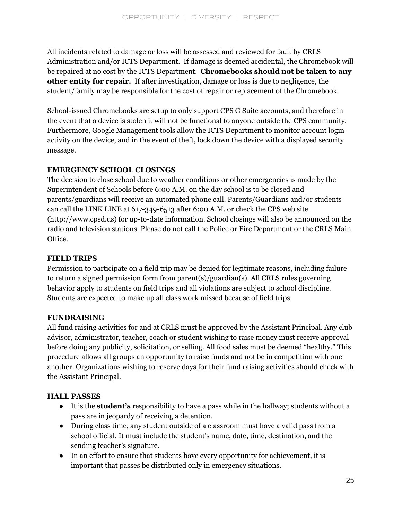All incidents related to damage or loss will be assessed and reviewed for fault by CRLS Administration and/or ICTS Department. If damage is deemed accidental, the Chromebook will be repaired at no cost by the ICTS Department. **Chromebooks should not be taken to any other entity for repair.** If after investigation, damage or loss is due to negligence, the student/family may be responsible for the cost of repair or replacement of the Chromebook.

School-issued Chromebooks are setup to only support CPS G Suite accounts, and therefore in the event that a device is stolen it will not be functional to anyone outside the CPS community. Furthermore, Google Management tools allow the ICTS Department to monitor account login activity on the device, and in the event of theft, lock down the device with a displayed security message.

## **EMERGENCY SCHOOL CLOSINGS**

The decision to close school due to weather conditions or other emergencies is made by the Superintendent of Schools before 6:00 A.M. on the day school is to be closed and parents/guardians will receive an automated phone call. Parents/Guardians and/or students can call the LINK LINE at 617-349-6513 after 6:00 A.M. or check the CPS web site (http://www.cpsd.us) for up-to-date information. School closings will also be announced on the radio and television stations. Please do not call the Police or Fire Department or the CRLS Main Office.

## **FIELD TRIPS**

Permission to participate on a field trip may be denied for legitimate reasons, including failure to return a signed permission form from parent(s)/guardian(s). All CRLS rules governing behavior apply to students on field trips and all violations are subject to school discipline. Students are expected to make up all class work missed because of field trips

#### **FUNDRAISING**

All fund raising activities for and at CRLS must be approved by the Assistant Principal. Any club advisor, administrator, teacher, coach or student wishing to raise money must receive approval before doing any publicity, solicitation, or selling. All food sales must be deemed "healthy." This procedure allows all groups an opportunity to raise funds and not be in competition with one another. Organizations wishing to reserve days for their fund raising activities should check with the Assistant Principal.

#### **HALL PASSES**

- It is the **student's** responsibility to have a pass while in the hallway; students without a pass are in jeopardy of receiving a detention.
- During class time, any student outside of a classroom must have a valid pass from a school official. It must include the student's name, date, time, destination, and the sending teacher's signature.
- In an effort to ensure that students have every opportunity for achievement, it is important that passes be distributed only in emergency situations.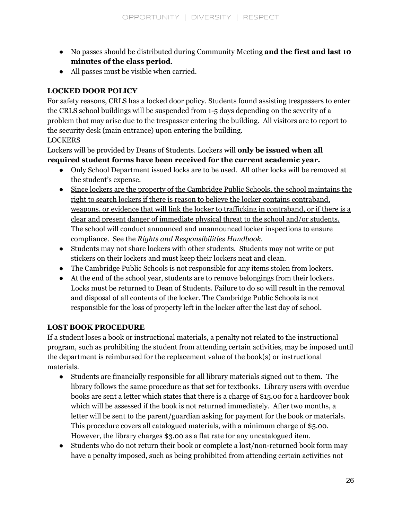- No passes should be distributed during Community Meeting **and the first and last 10 minutes of the class period**.
- All passes must be visible when carried.

## **LOCKED DOOR POLICY**

For safety reasons, CRLS has a locked door policy. Students found assisting trespassers to enter the CRLS school buildings will be suspended from 1-5 days depending on the severity of a problem that may arise due to the trespasser entering the building. All visitors are to report to the security desk (main entrance) upon entering the building.

## LOCKERS

Lockers will be provided by Deans of Students. Lockers will **only be issued when all required student forms have been received for the current academic year.**

- Only School Department issued locks are to be used. All other locks will be removed at the student's expense.
- Since lockers are the property of the Cambridge Public Schools, the school maintains the right to search lockers if there is reason to believe the locker contains contraband, weapons, or evidence that will link the locker to trafficking in contraband, or if there is a clear and present danger of immediate physical threat to the school and/or students. The school will conduct announced and unannounced locker inspections to ensure compliance. See the *Rights and Responsibilities Handbook.*
- Students may not share lockers with other students. Students may not write or put stickers on their lockers and must keep their lockers neat and clean.
- The Cambridge Public Schools is not responsible for any items stolen from lockers.
- At the end of the school year, students are to remove belongings from their lockers. Locks must be returned to Dean of Students. Failure to do so will result in the removal and disposal of all contents of the locker. The Cambridge Public Schools is not responsible for the loss of property left in the locker after the last day of school.

## **LOST BOOK PROCEDURE**

If a student loses a book or instructional materials, a penalty not related to the instructional program, such as prohibiting the student from attending certain activities, may be imposed until the department is reimbursed for the replacement value of the book(s) or instructional materials.

- Students are financially responsible for all library materials signed out to them. The library follows the same procedure as that set for textbooks. Library users with overdue books are sent a letter which states that there is a charge of \$15.00 for a hardcover book which will be assessed if the book is not returned immediately. After two months, a letter will be sent to the parent/guardian asking for payment for the book or materials. This procedure covers all catalogued materials, with a minimum charge of \$5.00. However, the library charges \$3.00 as a flat rate for any uncatalogued item.
- Students who do not return their book or complete a lost/non-returned book form may have a penalty imposed, such as being prohibited from attending certain activities not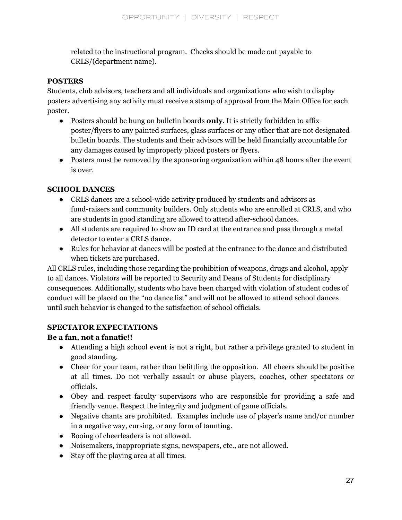related to the instructional program. Checks should be made out payable to CRLS/(department name).

#### **POSTERS**

Students, club advisors, teachers and all individuals and organizations who wish to display posters advertising any activity must receive a stamp of approval from the Main Office for each poster.

- Posters should be hung on bulletin boards **only**. It is strictly forbidden to affix poster/flyers to any painted surfaces, glass surfaces or any other that are not designated bulletin boards. The students and their advisors will be held financially accountable for any damages caused by improperly placed posters or flyers.
- Posters must be removed by the sponsoring organization within 48 hours after the event is over.

## **SCHOOL DANCES**

- CRLS dances are a school-wide activity produced by students and advisors as fund-raisers and community builders. Only students who are enrolled at CRLS, and who are students in good standing are allowed to attend after-school dances.
- All students are required to show an ID card at the entrance and pass through a metal detector to enter a CRLS dance.
- Rules for behavior at dances will be posted at the entrance to the dance and distributed when tickets are purchased.

All CRLS rules, including those regarding the prohibition of weapons, drugs and alcohol, apply to all dances. Violators will be reported to Security and Deans of Students for disciplinary consequences. Additionally, students who have been charged with violation of student codes of conduct will be placed on the "no dance list" and will not be allowed to attend school dances until such behavior is changed to the satisfaction of school officials.

## **SPECTATOR EXPECTATIONS**

## **Be a fan, not a fanatic!!**

- Attending a high school event is not a right, but rather a privilege granted to student in good standing.
- Cheer for your team, rather than be it thing the opposition. All cheers should be positive at all times. Do not verbally assault or abuse players, coaches, other spectators or officials.
- Obey and respect faculty supervisors who are responsible for providing a safe and friendly venue. Respect the integrity and judgment of game officials.
- Negative chants are prohibited. Examples include use of player's name and/or number in a negative way, cursing, or any form of taunting.
- Booing of cheerleaders is not allowed.
- Noisemakers, inappropriate signs, newspapers, etc., are not allowed.
- Stay off the playing area at all times.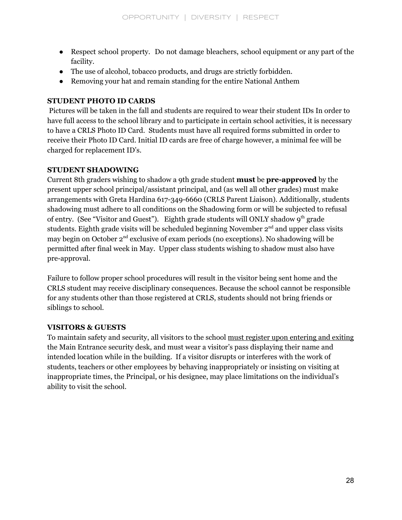- Respect school property. Do not damage bleachers, school equipment or any part of the facility.
- The use of alcohol, tobacco products, and drugs are strictly forbidden.
- Removing your hat and remain standing for the entire National Anthem

## **STUDENT PHOTO ID CARDS**

Pictures will be taken in the fall and students are required to wear their student IDs In order to have full access to the school library and to participate in certain school activities, it is necessary to have a CRLS Photo ID Card. Students must have all required forms submitted in order to receive their Photo ID Card. Initial ID cards are free of charge however, a minimal fee will be charged for replacement ID's.

## **STUDENT SHADOWING**

Current 8th graders wishing to shadow a 9th grade student **must** be **pre-approved** by the present upper school principal/assistant principal, and (as well all other grades) must make arrangements with Greta Hardina 617-349-6660 (CRLS Parent Liaison). Additionally, students shadowing must adhere to all conditions on the Shadowing form or will be subjected to refusal of entry. (See "Visitor and Guest"). Eighth grade students will ONLY shadow 9<sup>th</sup> grade students. Eighth grade visits will be scheduled beginning November  $2<sup>nd</sup>$  and upper class visits may begin on October 2<sup>nd</sup> exclusive of exam periods (no exceptions). No shadowing will be permitted after final week in May. Upper class students wishing to shadow must also have pre-approval.

Failure to follow proper school procedures will result in the visitor being sent home and the CRLS student may receive disciplinary consequences. Because the school cannot be responsible for any students other than those registered at CRLS, students should not bring friends or siblings to school.

## **VISITORS & GUESTS**

To maintain safety and security, all visitors to the school must register upon entering and exiting the Main Entrance security desk, and must wear a visitor's pass displaying their name and intended location while in the building. If a visitor disrupts or interferes with the work of students, teachers or other employees by behaving inappropriately or insisting on visiting at inappropriate times, the Principal, or his designee, may place limitations on the individual's ability to visit the school.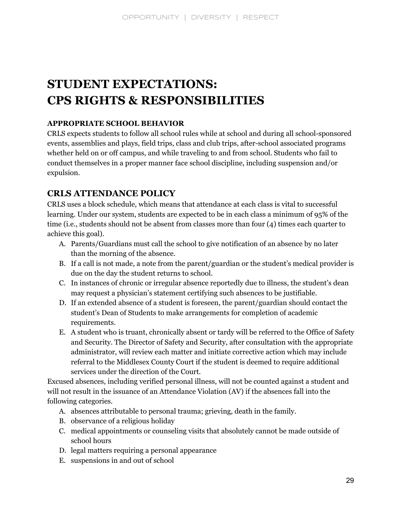## **STUDENT EXPECTATIONS: CPS RIGHTS & RESPONSIBILITIES**

## **APPROPRIATE SCHOOL BEHAVIOR**

CRLS expects students to follow all school rules while at school and during all school-sponsored events, assemblies and plays, field trips, class and club trips, after-school associated programs whether held on or off campus, and while traveling to and from school. Students who fail to conduct themselves in a proper manner face school discipline, including suspension and/or expulsion.

## **CRLS ATTENDANCE POLICY**

CRLS uses a block schedule, which means that attendance at each class is vital to successful learning. Under our system, students are expected to be in each class a minimum of 95% of the time (i.e., students should not be absent from classes more than four (4) times each quarter to achieve this goal).

- A. Parents/Guardians must call the school to give notification of an absence by no later than the morning of the absence.
- B. If a call is not made, a note from the parent/guardian or the student's medical provider is due on the day the student returns to school.
- C. In instances of chronic or irregular absence reportedly due to illness, the student's dean may request a physician's statement certifying such absences to be justifiable.
- D. If an extended absence of a student is foreseen, the parent/guardian should contact the student's Dean of Students to make arrangements for completion of academic requirements.
- E. A student who is truant, chronically absent or tardy will be referred to the Office of Safety and Security. The Director of Safety and Security, after consultation with the appropriate administrator, will review each matter and initiate corrective action which may include referral to the Middlesex County Court if the student is deemed to require additional services under the direction of the Court.

Excused absences, including verified personal illness, will not be counted against a student and will not result in the issuance of an Attendance Violation (AV) if the absences fall into the following categories.

- A. absences attributable to personal trauma; grieving, death in the family.
- B. observance of a religious holiday
- C. medical appointments or counseling visits that absolutely cannot be made outside of school hours
- D. legal matters requiring a personal appearance
- E. suspensions in and out of school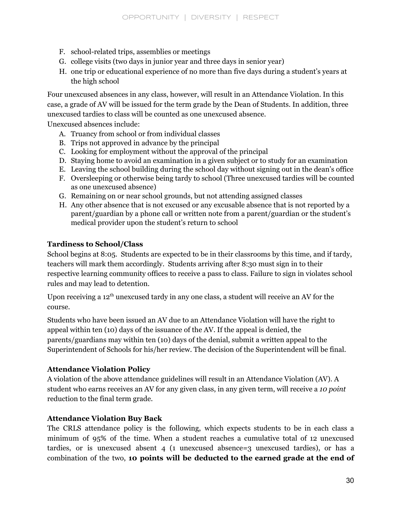- F. school-related trips, assemblies or meetings
- G. college visits (two days in junior year and three days in senior year)
- H. one trip or educational experience of no more than five days during a student's years at the high school

Four unexcused absences in any class, however, will result in an Attendance Violation. In this case, a grade of AV will be issued for the term grade by the Dean of Students. In addition, three unexcused tardies to class will be counted as one unexcused absence.

Unexcused absences include:

- A. Truancy from school or from individual classes
- B. Trips not approved in advance by the principal
- C. Looking for employment without the approval of the principal
- D. Staying home to avoid an examination in a given subject or to study for an examination
- E. Leaving the school building during the school day without signing out in the dean's office
- F. Oversleeping or otherwise being tardy to school (Three unexcused tardies will be counted as one unexcused absence)
- G. Remaining on or near school grounds, but not attending assigned classes
- H. Any other absence that is not excused or any excusable absence that is not reported by a parent/guardian by a phone call or written note from a parent/guardian or the student's medical provider upon the student's return to school

## **Tardiness to School/Class**

School begins at 8:05. Students are expected to be in their classrooms by this time, and if tardy, teachers will mark them accordingly. Students arriving after 8:30 must sign in to their respective learning community offices to receive a pass to class. Failure to sign in violates school rules and may lead to detention.

Upon receiving a 12<sup>th</sup> unexcused tardy in any one class, a student will receive an AV for the course.

Students who have been issued an AV due to an Attendance Violation will have the right to appeal within ten (10) days of the issuance of the AV. If the appeal is denied, the parents/guardians may within ten (10) days of the denial, submit a written appeal to the Superintendent of Schools for his/her review. The decision of the Superintendent will be final.

#### **Attendance Violation Policy**

A violation of the above attendance guidelines will result in an Attendance Violation (AV). A student who earns receives an AV for any given class, in any given term, will receive a *10 point* reduction to the final term grade.

#### **Attendance Violation Buy Back**

The CRLS attendance policy is the following, which expects students to be in each class a minimum of 95% of the time. When a student reaches a cumulative total of 12 unexcused tardies, or is unexcused absent 4 (1 unexcused absence=3 unexcused tardies), or has a combination of the two, **10 points will be deducted to the earned grade at the end of**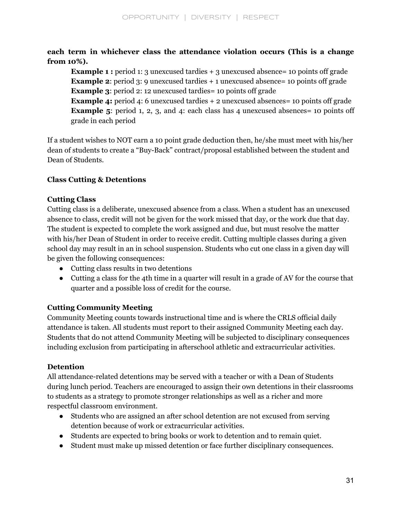**each term in whichever class the attendance violation occurs (This is a change from 10%).**

**Example 1** : period 1: 3 unexcused tardies + 3 unexcused absence = 10 points off grade **Example 2:** period 3: 9 unexcused tardies + 1 unexcused absence= 10 points off grade **Example 3:** period 2: 12 unexcused tardies = 10 points off grade

**Example** 4: period 4: 6 unexcused tardies + 2 unexcused absences = 10 points off grade **Example** 5: period 1, 2, 3, and 4: each class has 4 unexcused absences= 10 points off grade in each period

If a student wishes to NOT earn a 10 point grade deduction then, he/she must meet with his/her dean of students to create a "Buy-Back" contract/proposal established between the student and Dean of Students.

## **Class Cutting & Detentions**

## **Cutting Class**

Cutting class is a deliberate, unexcused absence from a class. When a student has an unexcused absence to class, credit will not be given for the work missed that day, or the work due that day. The student is expected to complete the work assigned and due, but must resolve the matter with his/her Dean of Student in order to receive credit. Cutting multiple classes during a given school day may result in an in school suspension. Students who cut one class in a given day will be given the following consequences:

- Cutting class results in two detentions
- Cutting a class for the 4th time in a quarter will result in a grade of AV for the course that quarter and a possible loss of credit for the course.

## **Cutting Community Meeting**

Community Meeting counts towards instructional time and is where the CRLS official daily attendance is taken. All students must report to their assigned Community Meeting each day. Students that do not attend Community Meeting will be subjected to disciplinary consequences including exclusion from participating in afterschool athletic and extracurricular activities.

## **Detention**

All attendance-related detentions may be served with a teacher or with a Dean of Students during lunch period. Teachers are encouraged to assign their own detentions in their classrooms to students as a strategy to promote stronger relationships as well as a richer and more respectful classroom environment.

- Students who are assigned an after school detention are not excused from serving detention because of work or extracurricular activities.
- Students are expected to bring books or work to detention and to remain quiet.
- Student must make up missed detention or face further disciplinary consequences.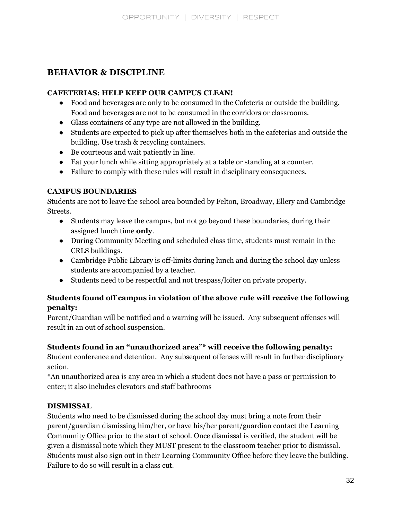## **BEHAVIOR & DISCIPLINE**

#### **CAFETERIAS: HELP KEEP OUR CAMPUS CLEAN!**

- Food and beverages are only to be consumed in the Cafeteria or outside the building. Food and beverages are not to be consumed in the corridors or classrooms.
- Glass containers of any type are not allowed in the building.
- Students are expected to pick up after themselves both in the cafeterias and outside the building. Use trash & recycling containers.
- Be courteous and wait patiently in line.
- Eat your lunch while sitting appropriately at a table or standing at a counter.
- Failure to comply with these rules will result in disciplinary consequences.

## **CAMPUS BOUNDARIES**

Students are not to leave the school area bounded by Felton, Broadway, Ellery and Cambridge Streets.

- Students may leave the campus, but not go beyond these boundaries, during their assigned lunch time **only**.
- During Community Meeting and scheduled class time, students must remain in the CRLS buildings.
- Cambridge Public Library is off-limits during lunch and during the school day unless students are accompanied by a teacher.
- Students need to be respectful and not trespass/loiter on private property.

## **Students found off campus in violation of the above rule will receive the following penalty:**

Parent/Guardian will be notified and a warning will be issued. Any subsequent offenses will result in an out of school suspension.

## **Students found in an "unauthorized area"\* will receive the following penalty:**

Student conference and detention. Any subsequent offenses will result in further disciplinary action.

\*An unauthorized area is any area in which a student does not have a pass or permission to enter; it also includes elevators and staff bathrooms

## **DISMISSAL**

Students who need to be dismissed during the school day must bring a note from their parent/guardian dismissing him/her, or have his/her parent/guardian contact the Learning Community Office prior to the start of school. Once dismissal is verified, the student will be given a dismissal note which they MUST present to the classroom teacher prior to dismissal. Students must also sign out in their Learning Community Office before they leave the building. Failure to do so will result in a class cut.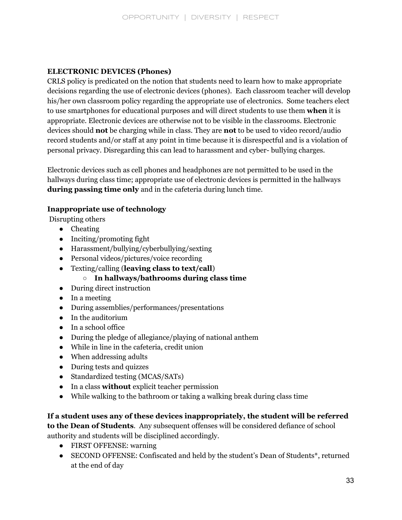## **ELECTRONIC DEVICES (Phones)**

CRLS policy is predicated on the notion that students need to learn how to make appropriate decisions regarding the use of electronic devices (phones). Each classroom teacher will develop his/her own classroom policy regarding the appropriate use of electronics. Some teachers elect to use smartphones for educational purposes and will direct students to use them **when** it is appropriate. Electronic devices are otherwise not to be visible in the classrooms. Electronic devices should **not** be charging while in class. They are **not** to be used to video record/audio record students and/or staff at any point in time because it is disrespectful and is a violation of personal privacy. Disregarding this can lead to harassment and cyber- bullying charges.

Electronic devices such as cell phones and headphones are not permitted to be used in the hallways during class time; appropriate use of electronic devices is permitted in the hallways **during passing time only** and in the cafeteria during lunch time.

## **Inappropriate use of technology**

Disrupting others

- Cheating
- Inciting/promoting fight
- Harassment/bullying/cyberbullying/sexting
- Personal videos/pictures/voice recording
- Texting/calling (**leaving class to text/call**)
	- **In hallways/bathrooms during class time**
- During direct instruction
- In a meeting
- During assemblies/performances/presentations
- In the auditorium
- In a school office
- During the pledge of allegiance/playing of national anthem
- While in line in the cafeteria, credit union
- When addressing adults
- During tests and quizzes
- Standardized testing (MCAS/SATs)
- In a class **without** explicit teacher permission
- While walking to the bathroom or taking a walking break during class time

**If a student uses any of these devices inappropriately, the student will be referred to the Dean of Students**. Any subsequent offenses will be considered defiance of school authority and students will be disciplined accordingly.

- FIRST OFFENSE: warning
- SECOND OFFENSE: Confiscated and held by the student's Dean of Students<sup>\*</sup>, returned at the end of day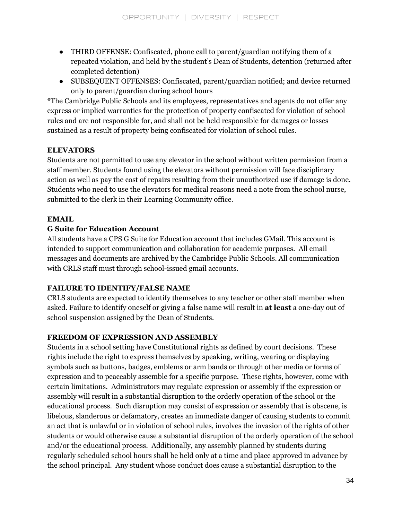- THIRD OFFENSE: Confiscated, phone call to parent/guardian notifying them of a repeated violation, and held by the student's Dean of Students, detention (returned after completed detention)
- SUBSEQUENT OFFENSES: Confiscated, parent/guardian notified; and device returned only to parent/guardian during school hours

\*The Cambridge Public Schools and its employees, representatives and agents do not offer any express or implied warranties for the protection of property confiscated for violation of school rules and are not responsible for, and shall not be held responsible for damages or losses sustained as a result of property being confiscated for violation of school rules.

## **ELEVATORS**

Students are not permitted to use any elevator in the school without written permission from a staff member. Students found using the elevators without permission will face disciplinary action as well as pay the cost of repairs resulting from their unauthorized use if damage is done. Students who need to use the elevators for medical reasons need a note from the school nurse, submitted to the clerk in their Learning Community office.

## **EMAIL**

## **G Suite for Education Account**

All students have a CPS G Suite for Education account that includes GMail. This account is intended to support communication and collaboration for academic purposes. All email messages and documents are archived by the Cambridge Public Schools. All communication with CRLS staff must through school-issued gmail accounts.

## **FAILURE TO IDENTIFY/FALSE NAME**

CRLS students are expected to identify themselves to any teacher or other staff member when asked. Failure to identify oneself or giving a false name will result in **at least** a one-day out of school suspension assigned by the Dean of Students.

## **FREEDOM OF EXPRESSION AND ASSEMBLY**

Students in a school setting have Constitutional rights as defined by court decisions. These rights include the right to express themselves by speaking, writing, wearing or displaying symbols such as buttons, badges, emblems or arm bands or through other media or forms of expression and to peaceably assemble for a specific purpose. These rights, however, come with certain limitations. Administrators may regulate expression or assembly if the expression or assembly will result in a substantial disruption to the orderly operation of the school or the educational process. Such disruption may consist of expression or assembly that is obscene, is libelous, slanderous or defamatory, creates an immediate danger of causing students to commit an act that is unlawful or in violation of school rules, involves the invasion of the rights of other students or would otherwise cause a substantial disruption of the orderly operation of the school and/or the educational process. Additionally, any assembly planned by students during regularly scheduled school hours shall be held only at a time and place approved in advance by the school principal. Any student whose conduct does cause a substantial disruption to the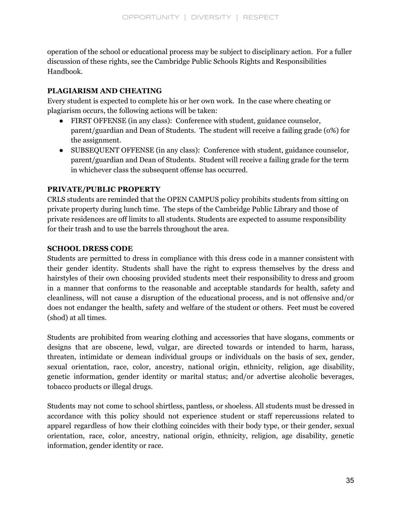operation of the school or educational process may be subject to disciplinary action. For a fuller discussion of these rights, see the Cambridge Public Schools Rights and Responsibilities Handbook.

## **PLAGIARISM AND CHEATING**

Every student is expected to complete his or her own work. In the case where cheating or plagiarism occurs, the following actions will be taken:

- FIRST OFFENSE (in any class): Conference with student, guidance counselor, parent/guardian and Dean of Students. The student will receive a failing grade (o%) for the assignment.
- SUBSEQUENT OFFENSE (in any class): Conference with student, guidance counselor, parent/guardian and Dean of Students. Student will receive a failing grade for the term in whichever class the subsequent offense has occurred.

## **PRIVATE/PUBLIC PROPERTY**

CRLS students are reminded that the OPEN CAMPUS policy prohibits students from sitting on private property during lunch time. The steps of the Cambridge Public Library and those of private residences are off limits to all students. Students are expected to assume responsibility for their trash and to use the barrels throughout the area.

## **SCHOOL DRESS CODE**

Students are permitted to dress in compliance with this dress code in a manner consistent with their gender identity. Students shall have the right to express themselves by the dress and hairstyles of their own choosing provided students meet their responsibility to dress and groom in a manner that conforms to the reasonable and acceptable standards for health, safety and cleanliness, will not cause a disruption of the educational process, and is not offensive and/or does not endanger the health, safety and welfare of the student or others. Feet must be covered (shod) at all times.

Students are prohibited from wearing clothing and accessories that have slogans, comments or designs that are obscene, lewd, vulgar, are directed towards or intended to harm, harass, threaten, intimidate or demean individual groups or individuals on the basis of sex, gender, sexual orientation, race, color, ancestry, national origin, ethnicity, religion, age disability, genetic information, gender identity or marital status; and/or advertise alcoholic beverages, tobacco products or illegal drugs.

Students may not come to school shirtless, pantless, or shoeless. All students must be dressed in accordance with this policy should not experience student or staff repercussions related to apparel regardless of how their clothing coincides with their body type, or their gender, sexual orientation, race, color, ancestry, national origin, ethnicity, religion, age disability, genetic information, gender identity or race.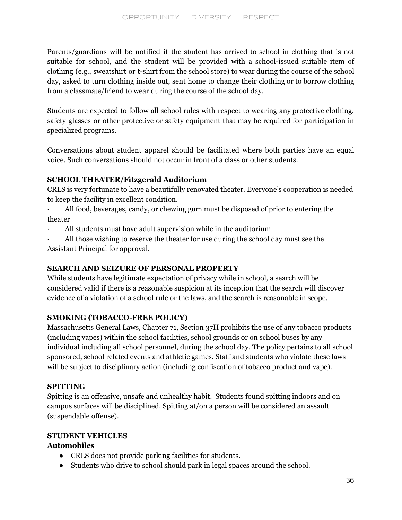Parents/guardians will be notified if the student has arrived to school in clothing that is not suitable for school, and the student will be provided with a school-issued suitable item of clothing (e.g., sweatshirt or t-shirt from the school store) to wear during the course of the school day, asked to turn clothing inside out, sent home to change their clothing or to borrow clothing from a classmate/friend to wear during the course of the school day.

Students are expected to follow all school rules with respect to wearing any protective clothing, safety glasses or other protective or safety equipment that may be required for participation in specialized programs.

Conversations about student apparel should be facilitated where both parties have an equal voice. Such conversations should not occur in front of a class or other students.

## **SCHOOL THEATER/Fitzgerald Auditorium**

CRLS is very fortunate to have a beautifully renovated theater. Everyone's cooperation is needed to keep the facility in excellent condition.

- All food, beverages, candy, or chewing gum must be disposed of prior to entering the theater
- · All students must have adult supervision while in the auditorium
- · All those wishing to reserve the theater for use during the school day must see the Assistant Principal for approval.

## **SEARCH AND SEIZURE OF PERSONAL PROPERTY**

While students have legitimate expectation of privacy while in school, a search will be considered valid if there is a reasonable suspicion at its inception that the search will discover evidence of a violation of a school rule or the laws, and the search is reasonable in scope.

## **SMOKING (TOBACCO-FREE POLICY)**

Massachusetts General Laws, Chapter 71, Section 37H prohibits the use of any tobacco products (including vapes) within the school facilities, school grounds or on school buses by any individual including all school personnel, during the school day. The policy pertains to all school sponsored, school related events and athletic games. Staff and students who violate these laws will be subject to disciplinary action (including confiscation of tobacco product and vape).

## **SPITTING**

Spitting is an offensive, unsafe and unhealthy habit. Students found spitting indoors and on campus surfaces will be disciplined. Spitting at/on a person will be considered an assault (suspendable offense).

## **STUDENT VEHICLES**

## **Automobiles**

- CRLS does not provide parking facilities for students.
- Students who drive to school should park in legal spaces around the school.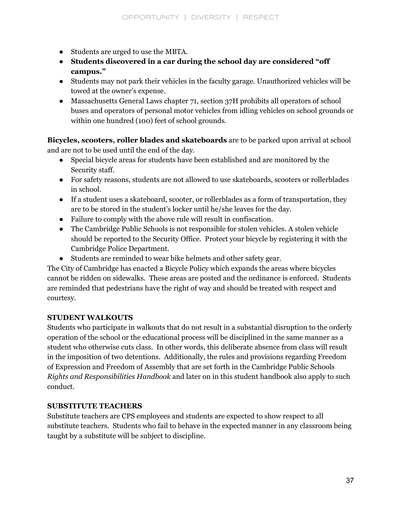- Students are urged to use the MBTA.
- **Students discovered in a car during the school day are considered "off campus."**
- Students may not park their vehicles in the faculty garage. Unauthorized vehicles will be towed at the owner's expense.
- Massachusetts General Laws chapter 71, section 37H prohibits all operators of school buses and operators of personal motor vehicles from idling vehicles on school grounds or within one hundred (100) feet of school grounds.

**Bicycles, scooters, roller blades and skateboards** are to be parked upon arrival at school and are not to be used until the end of the day.

- Special bicycle areas for students have been established and are monitored by the Security staff.
- For safety reasons, students are not allowed to use skateboards, scooters or rollerblades in school.
- If a student uses a skateboard, scooter, or rollerblades as a form of transportation, they are to be stored in the student's locker until he/she leaves for the day.
- Failure to comply with the above rule will result in confiscation.
- The Cambridge Public Schools is not responsible for stolen vehicles. A stolen vehicle should be reported to the Security Office. Protect your bicycle by registering it with the Cambridge Police Department.
- Students are reminded to wear bike helmets and other safety gear.

The City of Cambridge has enacted a Bicycle Policy which expands the areas where bicycles cannot be ridden on sidewalks. These areas are posted and the ordinance is enforced. Students are reminded that pedestrians have the right of way and should be treated with respect and courtesy.

## **STUDENT WALKOUTS**

Students who participate in walkouts that do not result in a substantial disruption to the orderly operation of the school or the educational process will be disciplined in the same manner as a student who otherwise cuts class. In other words, this deliberate absence from class will result in the imposition of two detentions. Additionally, the rules and provisions regarding Freedom of Expression and Freedom of Assembly that are set forth in the Cambridge Public Schools *Rights and Responsibilities Handbook* and later on in this student handbook also apply to such conduct.

## **SUBSTITUTE TEACHERS**

Substitute teachers are CPS employees and students are expected to show respect to all substitute teachers. Students who fail to behave in the expected manner in any classroom being taught by a substitute will be subject to discipline.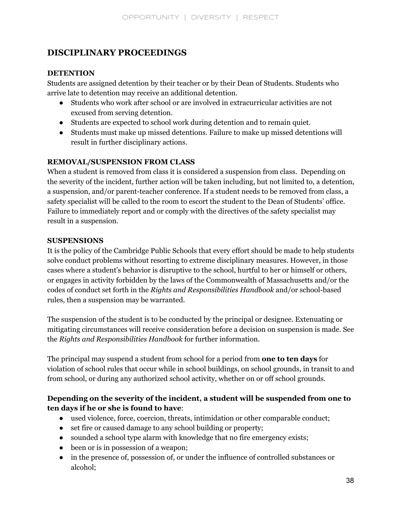## **DISCIPLINARY PROCEEDINGS**

## **DETENTION**

Students are assigned detention by their teacher or by their Dean of Students. Students who arrive late to detention may receive an additional detention.

- Students who work after school or are involved in extracurricular activities are not excused from serving detention.
- Students are expected to school work during detention and to remain quiet.
- Students must make up missed detentions. Failure to make up missed detentions will result in further disciplinary actions.

## **REMOVAL/SUSPENSION FROM CLASS**

When a student is removed from class it is considered a suspension from class. Depending on the severity of the incident, further action will be taken including, but not limited to, a detention, a suspension, and/or parent-teacher conference. If a student needs to be removed from class, a safety specialist will be called to the room to escort the student to the Dean of Students' office. Failure to immediately report and or comply with the directives of the safety specialist may result in a suspension.

#### **SUSPENSIONS**

It is the policy of the Cambridge Public Schools that every effort should be made to help students solve conduct problems without resorting to extreme disciplinary measures. However, in those cases where a student's behavior is disruptive to the school, hurtful to her or himself or others, or engages in activity forbidden by the laws of the Commonwealth of Massachusetts and/or the codes of conduct set forth in the *Rights and Responsibilities Handbook* and/or school-based rules, then a suspension may be warranted.

The suspension of the student is to be conducted by the principal or designee. Extenuating or mitigating circumstances will receive consideration before a decision on suspension is made. See the *Rights and Responsibilities Handbook* for further information.

The principal may suspend a student from school for a period from **one to ten days** for violation of school rules that occur while in school buildings, on school grounds, in transit to and from school, or during any authorized school activity, whether on or off school grounds.

## **Depending on the severity of the incident, a student will be suspended from one to ten days if he or she is found to have**:

- used violence, force, coercion, threats, intimidation or other comparable conduct;
- set fire or caused damage to any school building or property;
- sounded a school type alarm with knowledge that no fire emergency exists;
- been or is in possession of a weapon;
- in the presence of, possession of, or under the influence of controlled substances or alcohol;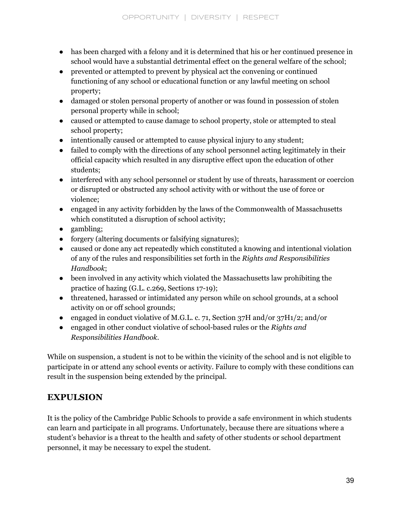- has been charged with a felony and it is determined that his or her continued presence in school would have a substantial detrimental effect on the general welfare of the school;
- prevented or attempted to prevent by physical act the convening or continued functioning of any school or educational function or any lawful meeting on school property;
- damaged or stolen personal property of another or was found in possession of stolen personal property while in school;
- caused or attempted to cause damage to school property, stole or attempted to steal school property;
- intentionally caused or attempted to cause physical injury to any student;
- failed to comply with the directions of any school personnel acting legitimately in their official capacity which resulted in any disruptive effect upon the education of other students;
- interfered with any school personnel or student by use of threats, harassment or coercion or disrupted or obstructed any school activity with or without the use of force or violence;
- engaged in any activity forbidden by the laws of the Commonwealth of Massachusetts which constituted a disruption of school activity;
- gambling;
- forgery (altering documents or falsifying signatures);
- caused or done any act repeatedly which constituted a knowing and intentional violation of any of the rules and responsibilities set forth in the *Rights and Responsibilities Handbook*;
- been involved in any activity which violated the Massachusetts law prohibiting the practice of hazing (G.L. c.269, Sections 17-19);
- threatened, harassed or intimidated any person while on school grounds, at a school activity on or off school grounds;
- engaged in conduct violative of M.G.L. c. 71, Section 37H and/or 37H1/2; and/or
- engaged in other conduct violative of school-based rules or the *Rights and Responsibilities Handbook*.

While on suspension, a student is not to be within the vicinity of the school and is not eligible to participate in or attend any school events or activity. Failure to comply with these conditions can result in the suspension being extended by the principal.

## **EXPULSION**

It is the policy of the Cambridge Public Schools to provide a safe environment in which students can learn and participate in all programs. Unfortunately, because there are situations where a student's behavior is a threat to the health and safety of other students or school department personnel, it may be necessary to expel the student.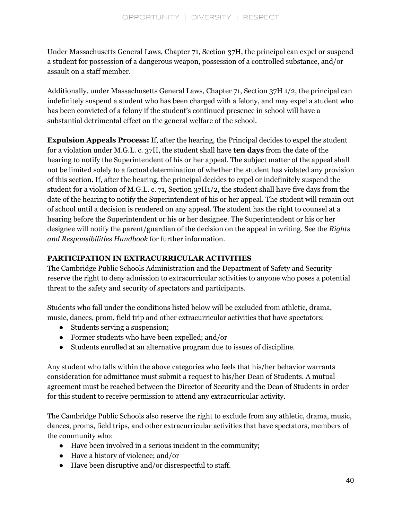Under Massachusetts General Laws, Chapter 71, Section 37H, the principal can expel or suspend a student for possession of a dangerous weapon, possession of a controlled substance, and/or assault on a staff member.

Additionally, under Massachusetts General Laws, Chapter 71, Section 37H 1/2, the principal can indefinitely suspend a student who has been charged with a felony, and may expel a student who has been convicted of a felony if the student's continued presence in school will have a substantial detrimental effect on the general welfare of the school.

**Expulsion Appeals Process:** If, after the hearing, the Principal decides to expel the student for a violation under M.G.L. c. 37H, the student shall have **ten days** from the date of the hearing to notify the Superintendent of his or her appeal. The subject matter of the appeal shall not be limited solely to a factual determination of whether the student has violated any provision of this section. If, after the hearing, the principal decides to expel or indefinitely suspend the student for a violation of M.G.L. c. 71, Section 37H1/2, the student shall have five days from the date of the hearing to notify the Superintendent of his or her appeal. The student will remain out of school until a decision is rendered on any appeal. The student has the right to counsel at a hearing before the Superintendent or his or her designee. The Superintendent or his or her designee will notify the parent/guardian of the decision on the appeal in writing. See the *Rights and Responsibilities Handbook* for further information.

## **PARTICIPATION IN EXTRACURRICULAR ACTIVITIES**

The Cambridge Public Schools Administration and the Department of Safety and Security reserve the right to deny admission to extracurricular activities to anyone who poses a potential threat to the safety and security of spectators and participants.

Students who fall under the conditions listed below will be excluded from athletic, drama, music, dances, prom, field trip and other extracurricular activities that have spectators:

- Students serving a suspension;
- Former students who have been expelled; and/or
- Students enrolled at an alternative program due to issues of discipline.

Any student who falls within the above categories who feels that his/her behavior warrants consideration for admittance must submit a request to his/her Dean of Students. A mutual agreement must be reached between the Director of Security and the Dean of Students in order for this student to receive permission to attend any extracurricular activity.

The Cambridge Public Schools also reserve the right to exclude from any athletic, drama, music, dances, proms, field trips, and other extracurricular activities that have spectators, members of the community who:

- Have been involved in a serious incident in the community;
- Have a history of violence; and/or
- Have been disruptive and/or disrespectful to staff.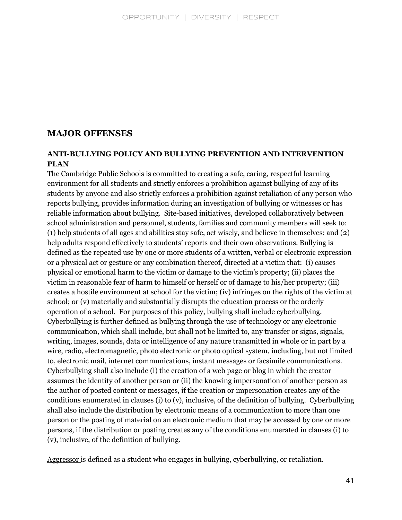## **MAJOR OFFENSES**

#### **ANTI-BULLYING POLICY AND BULLYING PREVENTION AND INTERVENTION PLAN**

The Cambridge Public Schools is committed to creating a safe, caring, respectful learning environment for all students and strictly enforces a prohibition against bullying of any of its students by anyone and also strictly enforces a prohibition against retaliation of any person who reports bullying, provides information during an investigation of bullying or witnesses or has reliable information about bullying. Site-based initiatives, developed collaboratively between school administration and personnel, students, families and community members will seek to: (1) help students of all ages and abilities stay safe, act wisely, and believe in themselves: and (2) help adults respond effectively to students' reports and their own observations. Bullying is defined as the repeated use by one or more students of a written, verbal or electronic expression or a physical act or gesture or any combination thereof, directed at a victim that: (i) causes physical or emotional harm to the victim or damage to the victim's property; (ii) places the victim in reasonable fear of harm to himself or herself or of damage to his/her property; (iii) creates a hostile environment at school for the victim; (iv) infringes on the rights of the victim at school; or (v) materially and substantially disrupts the education process or the orderly operation of a school. For purposes of this policy, bullying shall include cyberbullying. Cyberbullying is further defined as bullying through the use of technology or any electronic communication, which shall include, but shall not be limited to, any transfer or signs, signals, writing, images, sounds, data or intelligence of any nature transmitted in whole or in part by a wire, radio, electromagnetic, photo electronic or photo optical system, including, but not limited to, electronic mail, internet communications, instant messages or facsimile communications. Cyberbullying shall also include (i) the creation of a web page or blog in which the creator assumes the identity of another person or (ii) the knowing impersonation of another person as the author of posted content or messages, if the creation or impersonation creates any of the conditions enumerated in clauses (i) to (v), inclusive, of the definition of bullying. Cyberbullying shall also include the distribution by electronic means of a communication to more than one person or the posting of material on an electronic medium that may be accessed by one or more persons, if the distribution or posting creates any of the conditions enumerated in clauses (i) to (v), inclusive, of the definition of bullying.

Aggressor is defined as a student who engages in bullying, cyberbullying, or retaliation.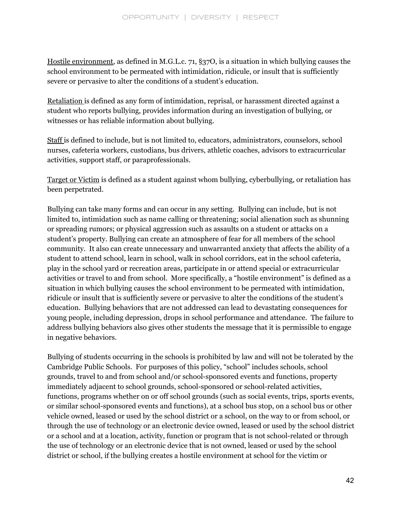Hostile environment, as defined in M.G.L.c. 71, §37O, is a situation in which bullying causes the school environment to be permeated with intimidation, ridicule, or insult that is sufficiently severe or pervasive to alter the conditions of a student's education.

Retaliation is defined as any form of intimidation, reprisal, or harassment directed against a student who reports bullying, provides information during an investigation of bullying, or witnesses or has reliable information about bullying.

Staff is defined to include, but is not limited to, educators, administrators, counselors, school nurses, cafeteria workers, custodians, bus drivers, athletic coaches, advisors to extracurricular activities, support staff, or paraprofessionals.

Target or Victim is defined as a student against whom bullying, cyberbullying, or retaliation has been perpetrated.

Bullying can take many forms and can occur in any setting. Bullying can include, but is not limited to, intimidation such as name calling or threatening; social alienation such as shunning or spreading rumors; or physical aggression such as assaults on a student or attacks on a student's property. Bullying can create an atmosphere of fear for all members of the school community. It also can create unnecessary and unwarranted anxiety that affects the ability of a student to attend school, learn in school, walk in school corridors, eat in the school cafeteria, play in the school yard or recreation areas, participate in or attend special or extracurricular activities or travel to and from school. More specifically, a "hostile environment" is defined as a situation in which bullying causes the school environment to be permeated with intimidation, ridicule or insult that is sufficiently severe or pervasive to alter the conditions of the student's education. Bullying behaviors that are not addressed can lead to devastating consequences for young people, including depression, drops in school performance and attendance. The failure to address bullying behaviors also gives other students the message that it is permissible to engage in negative behaviors.

Bullying of students occurring in the schools is prohibited by law and will not be tolerated by the Cambridge Public Schools. For purposes of this policy, "school" includes schools, school grounds, travel to and from school and/or school-sponsored events and functions, property immediately adjacent to school grounds, school-sponsored or school-related activities, functions, programs whether on or off school grounds (such as social events, trips, sports events, or similar school-sponsored events and functions), at a school bus stop, on a school bus or other vehicle owned, leased or used by the school district or a school, on the way to or from school, or through the use of technology or an electronic device owned, leased or used by the school district or a school and at a location, activity, function or program that is not school-related or through the use of technology or an electronic device that is not owned, leased or used by the school district or school, if the bullying creates a hostile environment at school for the victim or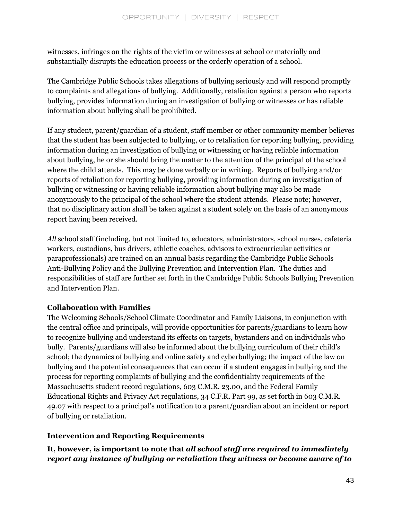witnesses, infringes on the rights of the victim or witnesses at school or materially and substantially disrupts the education process or the orderly operation of a school.

The Cambridge Public Schools takes allegations of bullying seriously and will respond promptly to complaints and allegations of bullying. Additionally, retaliation against a person who reports bullying, provides information during an investigation of bullying or witnesses or has reliable information about bullying shall be prohibited.

If any student, parent/guardian of a student, staff member or other community member believes that the student has been subjected to bullying, or to retaliation for reporting bullying, providing information during an investigation of bullying or witnessing or having reliable information about bullying, he or she should bring the matter to the attention of the principal of the school where the child attends. This may be done verbally or in writing. Reports of bullying and/or reports of retaliation for reporting bullying, providing information during an investigation of bullying or witnessing or having reliable information about bullying may also be made anonymously to the principal of the school where the student attends. Please note; however, that no disciplinary action shall be taken against a student solely on the basis of an anonymous report having been received.

*All* school staff (including, but not limited to, educators, administrators, school nurses, cafeteria workers, custodians, bus drivers, athletic coaches, advisors to extracurricular activities or paraprofessionals) are trained on an annual basis regarding the Cambridge Public Schools Anti-Bullying Policy and the Bullying Prevention and Intervention Plan. The duties and responsibilities of staff are further set forth in the Cambridge Public Schools Bullying Prevention and Intervention Plan.

## **Collaboration with Families**

The Welcoming Schools/School Climate Coordinator and Family Liaisons, in conjunction with the central office and principals, will provide opportunities for parents/guardians to learn how to recognize bullying and understand its effects on targets, bystanders and on individuals who bully. Parents/guardians will also be informed about the bullying curriculum of their child's school; the dynamics of bullying and online safety and cyberbullying; the impact of the law on bullying and the potential consequences that can occur if a student engages in bullying and the process for reporting complaints of bullying and the confidentiality requirements of the Massachusetts student record regulations, 603 C.M.R. 23.00, and the Federal Family Educational Rights and Privacy Act regulations, 34 C.F.R. Part 99, as set forth in 603 C.M.R. 49.07 with respect to a principal's notification to a parent/guardian about an incident or report of bullying or retaliation.

## **Intervention and Reporting Requirements**

**It, however, is important to note that** *all school staf are required to immediately report any instance of bullying or retaliation they witness or become aware of to*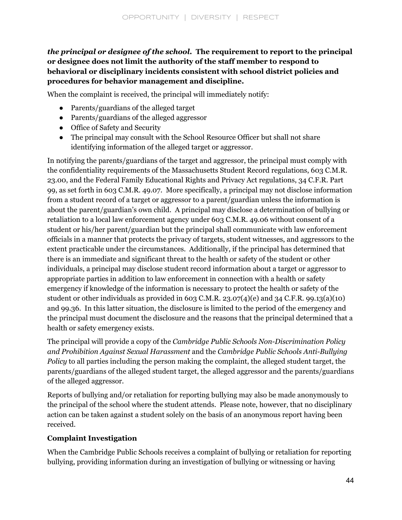## *the principal or designee of the school.* **The requirement to report to the principal or designee does not limit the authority of the staff member to respond to behavioral or disciplinary incidents consistent with school district policies and procedures for behavior management and discipline.**

When the complaint is received, the principal will immediately notify:

- Parents/guardians of the alleged target
- Parents/guardians of the alleged aggressor
- Office of Safety and Security
- The principal may consult with the School Resource Officer but shall not share identifying information of the alleged target or aggressor.

In notifying the parents/guardians of the target and aggressor, the principal must comply with the confidentiality requirements of the Massachusetts Student Record regulations, 603 C.M.R. 23.00, and the Federal Family Educational Rights and Privacy Act regulations, 34 C.F.R. Part 99, as set forth in 603 C.M.R. 49.07. More specifically, a principal may not disclose information from a student record of a target or aggressor to a parent/guardian unless the information is about the parent/guardian's own child. A principal may disclose a determination of bullying or retaliation to a local law enforcement agency under 603 C.M.R. 49.06 without consent of a student or his/her parent/guardian but the principal shall communicate with law enforcement officials in a manner that protects the privacy of targets, student witnesses, and aggressors to the extent practicable under the circumstances. Additionally, if the principal has determined that there is an immediate and significant threat to the health or safety of the student or other individuals, a principal may disclose student record information about a target or aggressor to appropriate parties in addition to law enforcement in connection with a health or safety emergency if knowledge of the information is necessary to protect the health or safety of the student or other individuals as provided in 603 C.M.R. 23.07(4)(e) and 34 C.F.R. 99.13(a)(10) and 99.36. In this latter situation, the disclosure is limited to the period of the emergency and the principal must document the disclosure and the reasons that the principal determined that a health or safety emergency exists.

The principal will provide a copy of the *Cambridge Public Schools Non-Discrimination Policy and Prohibition Against Sexual Harassment* and the *Cambridge Public Schools Anti-Bullying Policy* to all parties including the person making the complaint, the alleged student target, the parents/guardians of the alleged student target, the alleged aggressor and the parents/guardians of the alleged aggressor.

Reports of bullying and/or retaliation for reporting bullying may also be made anonymously to the principal of the school where the student attends. Please note, however, that no disciplinary action can be taken against a student solely on the basis of an anonymous report having been received.

## **Complaint Investigation**

When the Cambridge Public Schools receives a complaint of bullying or retaliation for reporting bullying, providing information during an investigation of bullying or witnessing or having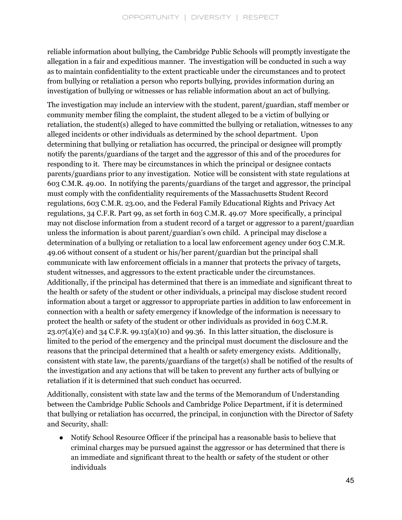reliable information about bullying, the Cambridge Public Schools will promptly investigate the allegation in a fair and expeditious manner. The investigation will be conducted in such a way as to maintain confidentiality to the extent practicable under the circumstances and to protect from bullying or retaliation a person who reports bullying, provides information during an investigation of bullying or witnesses or has reliable information about an act of bullying.

The investigation may include an interview with the student, parent/guardian, staff member or community member filing the complaint, the student alleged to be a victim of bullying or retaliation, the student(s) alleged to have committed the bullying or retaliation, witnesses to any alleged incidents or other individuals as determined by the school department. Upon determining that bullying or retaliation has occurred, the principal or designee will promptly notify the parents/guardians of the target and the aggressor of this and of the procedures for responding to it. There may be circumstances in which the principal or designee contacts parents/guardians prior to any investigation. Notice will be consistent with state regulations at 603 C.M.R. 49.00. In notifying the parents/guardians of the target and aggressor, the principal must comply with the confidentiality requirements of the Massachusetts Student Record regulations, 603 C.M.R. 23.00, and the Federal Family Educational Rights and Privacy Act regulations, 34 C.F.R. Part 99, as set forth in 603 C.M.R. 49.07 More specifically, a principal may not disclose information from a student record of a target or aggressor to a parent/guardian unless the information is about parent/guardian's own child. A principal may disclose a determination of a bullying or retaliation to a local law enforcement agency under 603 C.M.R. 49.06 without consent of a student or his/her parent/guardian but the principal shall communicate with law enforcement officials in a manner that protects the privacy of targets, student witnesses, and aggressors to the extent practicable under the circumstances. Additionally, if the principal has determined that there is an immediate and significant threat to the health or safety of the student or other individuals, a principal may disclose student record information about a target or aggressor to appropriate parties in addition to law enforcement in connection with a health or safety emergency if knowledge of the information is necessary to protect the health or safety of the student or other individuals as provided in 603 C.M.R.  $23.07(4)(e)$  and  $34$  C.F.R. 99.13(a)(10) and 99.36. In this latter situation, the disclosure is limited to the period of the emergency and the principal must document the disclosure and the reasons that the principal determined that a health or safety emergency exists. Additionally, consistent with state law, the parents/guardians of the target(s) shall be notified of the results of the investigation and any actions that will be taken to prevent any further acts of bullying or retaliation if it is determined that such conduct has occurred.

Additionally, consistent with state law and the terms of the Memorandum of Understanding between the Cambridge Public Schools and Cambridge Police Department, if it is determined that bullying or retaliation has occurred, the principal, in conjunction with the Director of Safety and Security, shall:

● Notify School Resource Officer if the principal has a reasonable basis to believe that criminal charges may be pursued against the aggressor or has determined that there is an immediate and significant threat to the health or safety of the student or other individuals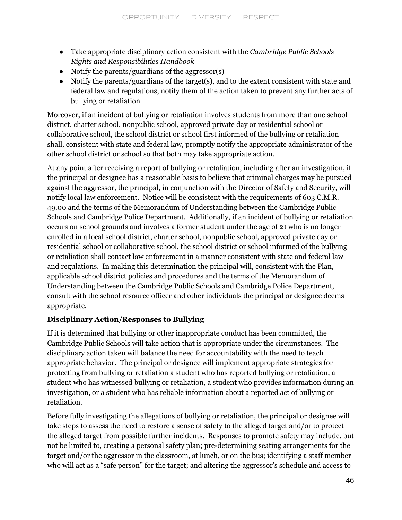- Take appropriate disciplinary action consistent with the *Cambridge Public Schools Rights and Responsibilities Handbook*
- Notify the parents/guardians of the aggressor(s)
- Notify the parents/guardians of the target(s), and to the extent consistent with state and federal law and regulations, notify them of the action taken to prevent any further acts of bullying or retaliation

Moreover, if an incident of bullying or retaliation involves students from more than one school district, charter school, nonpublic school, approved private day or residential school or collaborative school, the school district or school first informed of the bullying or retaliation shall, consistent with state and federal law, promptly notify the appropriate administrator of the other school district or school so that both may take appropriate action.

At any point after receiving a report of bullying or retaliation, including after an investigation, if the principal or designee has a reasonable basis to believe that criminal charges may be pursued against the aggressor, the principal, in conjunction with the Director of Safety and Security, will notify local law enforcement. Notice will be consistent with the requirements of 603 C.M.R. 49.00 and the terms of the Memorandum of Understanding between the Cambridge Public Schools and Cambridge Police Department. Additionally, if an incident of bullying or retaliation occurs on school grounds and involves a former student under the age of 21 who is no longer enrolled in a local school district, charter school, nonpublic school, approved private day or residential school or collaborative school, the school district or school informed of the bullying or retaliation shall contact law enforcement in a manner consistent with state and federal law and regulations. In making this determination the principal will, consistent with the Plan, applicable school district policies and procedures and the terms of the Memorandum of Understanding between the Cambridge Public Schools and Cambridge Police Department, consult with the school resource officer and other individuals the principal or designee deems appropriate.

## **Disciplinary Action/Responses to Bullying**

If it is determined that bullying or other inappropriate conduct has been committed, the Cambridge Public Schools will take action that is appropriate under the circumstances. The disciplinary action taken will balance the need for accountability with the need to teach appropriate behavior. The principal or designee will implement appropriate strategies for protecting from bullying or retaliation a student who has reported bullying or retaliation, a student who has witnessed bullying or retaliation, a student who provides information during an investigation, or a student who has reliable information about a reported act of bullying or retaliation.

Before fully investigating the allegations of bullying or retaliation, the principal or designee will take steps to assess the need to restore a sense of safety to the alleged target and/or to protect the alleged target from possible further incidents. Responses to promote safety may include, but not be limited to, creating a personal safety plan; pre-determining seating arrangements for the target and/or the aggressor in the classroom, at lunch, or on the bus; identifying a staff member who will act as a "safe person" for the target; and altering the aggressor's schedule and access to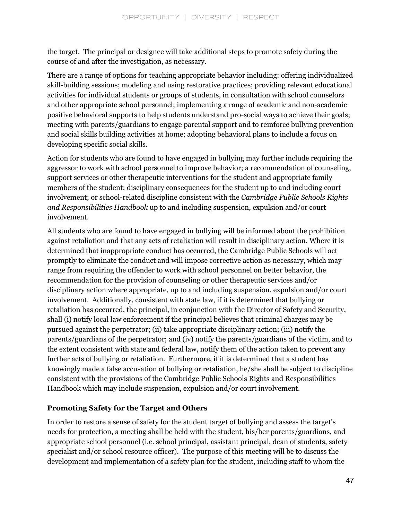the target. The principal or designee will take additional steps to promote safety during the course of and after the investigation, as necessary.

There are a range of options for teaching appropriate behavior including: offering individualized skill-building sessions; modeling and using restorative practices; providing relevant educational activities for individual students or groups of students, in consultation with school counselors and other appropriate school personnel; implementing a range of academic and non-academic positive behavioral supports to help students understand pro-social ways to achieve their goals; meeting with parents/guardians to engage parental support and to reinforce bullying prevention and social skills building activities at home; adopting behavioral plans to include a focus on developing specific social skills.

Action for students who are found to have engaged in bullying may further include requiring the aggressor to work with school personnel to improve behavior; a recommendation of counseling, support services or other therapeutic interventions for the student and appropriate family members of the student; disciplinary consequences for the student up to and including court involvement; or school-related discipline consistent with the *Cambridge Public Schools Rights and Responsibilities Handbook* up to and including suspension, expulsion and/or court involvement.

All students who are found to have engaged in bullying will be informed about the prohibition against retaliation and that any acts of retaliation will result in disciplinary action. Where it is determined that inappropriate conduct has occurred, the Cambridge Public Schools will act promptly to eliminate the conduct and will impose corrective action as necessary, which may range from requiring the offender to work with school personnel on better behavior, the recommendation for the provision of counseling or other therapeutic services and/or disciplinary action where appropriate, up to and including suspension, expulsion and/or court involvement. Additionally, consistent with state law, if it is determined that bullying or retaliation has occurred, the principal, in conjunction with the Director of Safety and Security, shall (i) notify local law enforcement if the principal believes that criminal charges may be pursued against the perpetrator; (ii) take appropriate disciplinary action; (iii) notify the parents/guardians of the perpetrator; and (iv) notify the parents/guardians of the victim, and to the extent consistent with state and federal law, notify them of the action taken to prevent any further acts of bullying or retaliation. Furthermore, if it is determined that a student has knowingly made a false accusation of bullying or retaliation, he/she shall be subject to discipline consistent with the provisions of the Cambridge Public Schools Rights and Responsibilities Handbook which may include suspension, expulsion and/or court involvement.

## **Promoting Safety for the Target and Others**

In order to restore a sense of safety for the student target of bullying and assess the target's needs for protection, a meeting shall be held with the student, his/her parents/guardians, and appropriate school personnel (i.e. school principal, assistant principal, dean of students, safety specialist and/or school resource officer). The purpose of this meeting will be to discuss the development and implementation of a safety plan for the student, including staff to whom the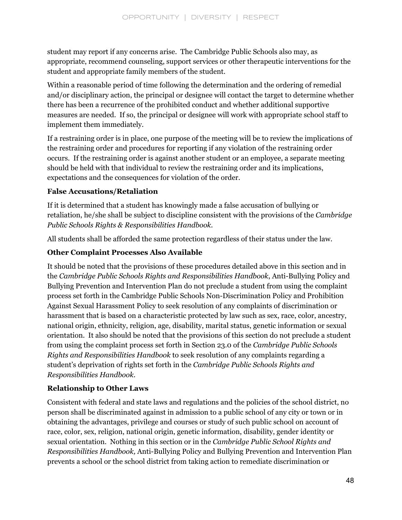student may report if any concerns arise. The Cambridge Public Schools also may, as appropriate, recommend counseling, support services or other therapeutic interventions for the student and appropriate family members of the student.

Within a reasonable period of time following the determination and the ordering of remedial and/or disciplinary action, the principal or designee will contact the target to determine whether there has been a recurrence of the prohibited conduct and whether additional supportive measures are needed. If so, the principal or designee will work with appropriate school staff to implement them immediately.

If a restraining order is in place, one purpose of the meeting will be to review the implications of the restraining order and procedures for reporting if any violation of the restraining order occurs. If the restraining order is against another student or an employee, a separate meeting should be held with that individual to review the restraining order and its implications, expectations and the consequences for violation of the order.

## **False Accusations/Retaliation**

If it is determined that a student has knowingly made a false accusation of bullying or retaliation, he/she shall be subject to discipline consistent with the provisions of the *Cambridge Public Schools Rights & Responsibilities Handbook.*

All students shall be afforded the same protection regardless of their status under the law.

## **Other Complaint Processes Also Available**

It should be noted that the provisions of these procedures detailed above in this section and in the *Cambridge Public Schools Rights and Responsibilities Handbook*, Anti-Bullying Policy and Bullying Prevention and Intervention Plan do not preclude a student from using the complaint process set forth in the Cambridge Public Schools Non-Discrimination Policy and Prohibition Against Sexual Harassment Policy to seek resolution of any complaints of discrimination or harassment that is based on a characteristic protected by law such as sex, race, color, ancestry, national origin, ethnicity, religion, age, disability, marital status, genetic information or sexual orientation. It also should be noted that the provisions of this section do not preclude a student from using the complaint process set forth in Section 23.0 of the *Cambridge Public Schools Rights and Responsibilities Handbook* to seek resolution of any complaints regarding a student's deprivation of rights set forth in the *Cambridge Public Schools Rights and Responsibilities Handbook.*

## **Relationship to Other Laws**

Consistent with federal and state laws and regulations and the policies of the school district, no person shall be discriminated against in admission to a public school of any city or town or in obtaining the advantages, privilege and courses or study of such public school on account of race, color, sex, religion, national origin, genetic information, disability, gender identity or sexual orientation. Nothing in this section or in the *Cambridge Public School Rights and Responsibilities Handbook,* Anti-Bullying Policy and Bullying Prevention and Intervention Plan prevents a school or the school district from taking action to remediate discrimination or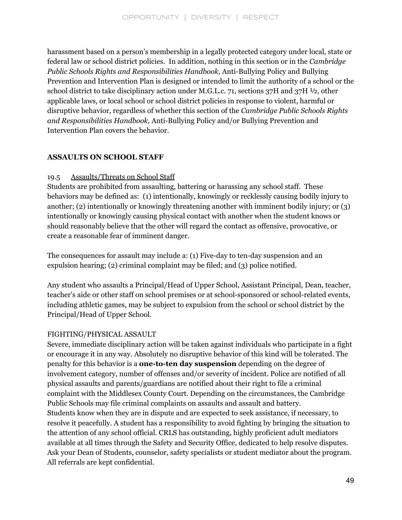harassment based on a person's membership in a legally protected category under local, state or federal law or school district policies. In addition, nothing in this section or in the *Cambridge Public Schools Rights and Responsibilities Handbook,* Anti-Bullying Policy and Bullying Prevention and Intervention Plan is designed or intended to limit the authority of a school or the school district to take disciplinary action under M.G.L.c. 71, sections 37H and 37H ½, other applicable laws, or local school or school district policies in response to violent, harmful or disruptive behavior, regardless of whether this section of the *Cambridge Public Schools Rights and Responsibilities Handbook,* Anti-Bullying Policy and/or Bullying Prevention and Intervention Plan covers the behavior.

## **ASSAULTS ON SCHOOL STAFF**

## 19.5 Assaults/Threats on School Staff

Students are prohibited from assaulting, battering or harassing any school staff. These behaviors may be defined as: (1) intentionally, knowingly or recklessly causing bodily injury to another; (2) intentionally or knowingly threatening another with imminent bodily injury; or (3) intentionally or knowingly causing physical contact with another when the student knows or should reasonably believe that the other will regard the contact as offensive, provocative, or create a reasonable fear of imminent danger.

The consequences for assault may include a: (1) Five-day to ten-day suspension and an expulsion hearing; (2) criminal complaint may be filed; and (3) police notified.

Any student who assaults a Principal/Head of Upper School, Assistant Principal, Dean, teacher, teacher's aide or other staff on school premises or at school-sponsored or school-related events, including athletic games, may be subject to expulsion from the school or school district by the Principal/Head of Upper School.

## FIGHTING/PHYSICAL ASSAULT

Severe, immediate disciplinary action will be taken against individuals who participate in a fight or encourage it in any way. Absolutely no disruptive behavior of this kind will be tolerated. The penalty for this behavior is a **one-to-ten day suspension** depending on the degree of involvement category, number of offenses and/or severity of incident. Police are notified of all physical assaults and parents/guardians are notified about their right to file a criminal complaint with the Middlesex County Court. Depending on the circumstances, the Cambridge Public Schools may file criminal complaints on assaults and assault and battery. Students know when they are in dispute and are expected to seek assistance, if necessary, to resolve it peacefully. A student has a responsibility to avoid fighting by bringing the situation to the attention of any school official. CRLS has outstanding, highly proficient adult mediators available at all times through the Safety and Security Office, dedicated to help resolve disputes. Ask your Dean of Students, counselor, safety specialists or student mediator about the program. All referrals are kept confidential.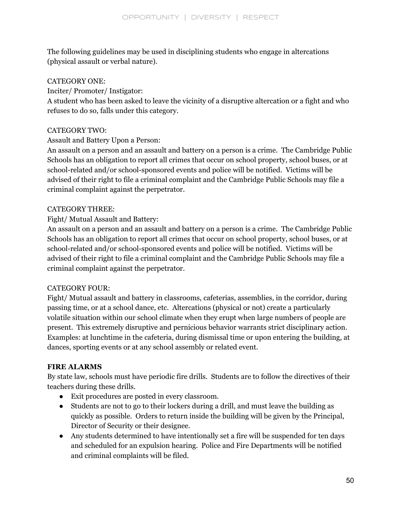The following guidelines may be used in disciplining students who engage in altercations (physical assault or verbal nature).

## CATEGORY ONE:

## Inciter/ Promoter/ Instigator:

A student who has been asked to leave the vicinity of a disruptive altercation or a fight and who refuses to do so, falls under this category.

### CATEGORY TWO:

## Assault and Battery Upon a Person:

An assault on a person and an assault and battery on a person is a crime. The Cambridge Public Schools has an obligation to report all crimes that occur on school property, school buses, or at school-related and/or school-sponsored events and police will be notified. Victims will be advised of their right to file a criminal complaint and the Cambridge Public Schools may file a criminal complaint against the perpetrator.

## CATEGORY THREE:

## Fight/ Mutual Assault and Battery:

An assault on a person and an assault and battery on a person is a crime. The Cambridge Public Schools has an obligation to report all crimes that occur on school property, school buses, or at school-related and/or school-sponsored events and police will be notified. Victims will be advised of their right to file a criminal complaint and the Cambridge Public Schools may file a criminal complaint against the perpetrator.

#### CATEGORY FOUR:

Fight/ Mutual assault and battery in classrooms, cafeterias, assemblies, in the corridor, during passing time, or at a school dance, etc. Altercations (physical or not) create a particularly volatile situation within our school climate when they erupt when large numbers of people are present. This extremely disruptive and pernicious behavior warrants strict disciplinary action. Examples: at lunchtime in the cafeteria, during dismissal time or upon entering the building, at dances, sporting events or at any school assembly or related event.

## **FIRE ALARMS**

By state law, schools must have periodic fire drills. Students are to follow the directives of their teachers during these drills.

- Exit procedures are posted in every classroom.
- Students are not to go to their lockers during a drill, and must leave the building as quickly as possible. Orders to return inside the building will be given by the Principal, Director of Security or their designee.
- Any students determined to have intentionally set a fire will be suspended for ten days and scheduled for an expulsion hearing. Police and Fire Departments will be notified and criminal complaints will be filed.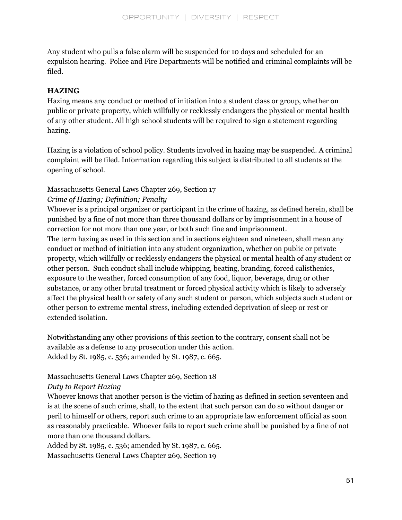Any student who pulls a false alarm will be suspended for 10 days and scheduled for an expulsion hearing. Police and Fire Departments will be notified and criminal complaints will be filed.

#### **HAZING**

Hazing means any conduct or method of initiation into a student class or group, whether on public or private property, which willfully or recklessly endangers the physical or mental health of any other student. All high school students will be required to sign a statement regarding hazing.

Hazing is a violation of school policy. Students involved in hazing may be suspended. A criminal complaint will be filed. Information regarding this subject is distributed to all students at the opening of school.

## Massachusetts General Laws Chapter 269, Section 17

## *Crime of Hazing; Definition; Penalty*

Whoever is a principal organizer or participant in the crime of hazing, as defined herein, shall be punished by a fine of not more than three thousand dollars or by imprisonment in a house of correction for not more than one year, or both such fine and imprisonment.

The term hazing as used in this section and in sections eighteen and nineteen, shall mean any conduct or method of initiation into any student organization, whether on public or private property, which willfully or recklessly endangers the physical or mental health of any student or other person. Such conduct shall include whipping, beating, branding, forced calisthenics, exposure to the weather, forced consumption of any food, liquor, beverage, drug or other substance, or any other brutal treatment or forced physical activity which is likely to adversely affect the physical health or safety of any such student or person, which subjects such student or other person to extreme mental stress, including extended deprivation of sleep or rest or extended isolation.

Notwithstanding any other provisions of this section to the contrary, consent shall not be available as a defense to any prosecution under this action. Added by St. 1985, c. 536; amended by St. 1987, c. 665.

## Massachusetts General Laws Chapter 269, Section 18

## *Duty to Report Hazing*

Whoever knows that another person is the victim of hazing as defined in section seventeen and is at the scene of such crime, shall, to the extent that such person can do so without danger or peril to himself or others, report such crime to an appropriate law enforcement official as soon as reasonably practicable. Whoever fails to report such crime shall be punished by a fine of not more than one thousand dollars.

Added by St. 1985, c. 536; amended by St. 1987, c. 665. Massachusetts General Laws Chapter 269, Section 19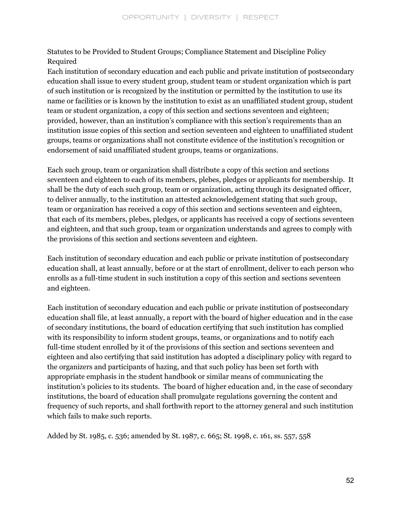Statutes to be Provided to Student Groups; Compliance Statement and Discipline Policy Required

Each institution of secondary education and each public and private institution of postsecondary education shall issue to every student group, student team or student organization which is part of such institution or is recognized by the institution or permitted by the institution to use its name or facilities or is known by the institution to exist as an unaffiliated student group, student team or student organization, a copy of this section and sections seventeen and eighteen; provided, however, than an institution's compliance with this section's requirements than an institution issue copies of this section and section seventeen and eighteen to unaffiliated student groups, teams or organizations shall not constitute evidence of the institution's recognition or endorsement of said unaffiliated student groups, teams or organizations.

Each such group, team or organization shall distribute a copy of this section and sections seventeen and eighteen to each of its members, plebes, pledges or applicants for membership. It shall be the duty of each such group, team or organization, acting through its designated officer, to deliver annually, to the institution an attested acknowledgement stating that such group, team or organization has received a copy of this section and sections seventeen and eighteen, that each of its members, plebes, pledges, or applicants has received a copy of sections seventeen and eighteen, and that such group, team or organization understands and agrees to comply with the provisions of this section and sections seventeen and eighteen.

Each institution of secondary education and each public or private institution of postsecondary education shall, at least annually, before or at the start of enrollment, deliver to each person who enrolls as a full-time student in such institution a copy of this section and sections seventeen and eighteen.

Each institution of secondary education and each public or private institution of postsecondary education shall file, at least annually, a report with the board of higher education and in the case of secondary institutions, the board of education certifying that such institution has complied with its responsibility to inform student groups, teams, or organizations and to notify each full-time student enrolled by it of the provisions of this section and sections seventeen and eighteen and also certifying that said institution has adopted a disciplinary policy with regard to the organizers and participants of hazing, and that such policy has been set forth with appropriate emphasis in the student handbook or similar means of communicating the institution's policies to its students. The board of higher education and, in the case of secondary institutions, the board of education shall promulgate regulations governing the content and frequency of such reports, and shall forthwith report to the attorney general and such institution which fails to make such reports.

Added by St. 1985, c. 536; amended by St. 1987, c. 665; St. 1998, c. 161, ss. 557, 558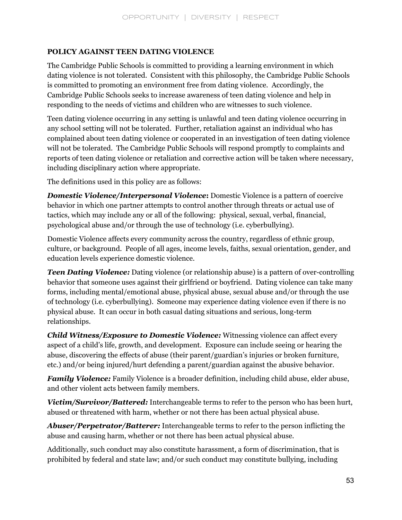## **POLICY AGAINST TEEN DATING VIOLENCE**

The Cambridge Public Schools is committed to providing a learning environment in which dating violence is not tolerated. Consistent with this philosophy, the Cambridge Public Schools is committed to promoting an environment free from dating violence. Accordingly, the Cambridge Public Schools seeks to increase awareness of teen dating violence and help in responding to the needs of victims and children who are witnesses to such violence.

Teen dating violence occurring in any setting is unlawful and teen dating violence occurring in any school setting will not be tolerated. Further, retaliation against an individual who has complained about teen dating violence or cooperated in an investigation of teen dating violence will not be tolerated. The Cambridge Public Schools will respond promptly to complaints and reports of teen dating violence or retaliation and corrective action will be taken where necessary, including disciplinary action where appropriate.

The definitions used in this policy are as follows:

*Domestic Violence/Interpersonal Violence***:** Domestic Violence is a pattern of coercive behavior in which one partner attempts to control another through threats or actual use of tactics, which may include any or all of the following: physical, sexual, verbal, financial, psychological abuse and/or through the use of technology (i.e. cyberbullying).

Domestic Violence affects every community across the country, regardless of ethnic group, culture, or background. People of all ages, income levels, faiths, sexual orientation, gender, and education levels experience domestic violence.

*Teen Dating Violence:* Dating violence (or relationship abuse) is a pattern of over-controlling behavior that someone uses against their girlfriend or boyfriend. Dating violence can take many forms, including mental/emotional abuse, physical abuse, sexual abuse and/or through the use of technology (i.e. cyberbullying). Someone may experience dating violence even if there is no physical abuse. It can occur in both casual dating situations and serious, long-term relationships.

*Child Witness/Exposure to Domestic Violence:* Witnessing violence can affect every aspect of a child's life, growth, and development. Exposure can include seeing or hearing the abuse, discovering the effects of abuse (their parent/guardian's injuries or broken furniture, etc.) and/or being injured/hurt defending a parent/guardian against the abusive behavior.

*Family Violence:* Family Violence is a broader definition, including child abuse, elder abuse, and other violent acts between family members.

*Victim/Survivor/Battered:* Interchangeable terms to refer to the person who has been hurt, abused or threatened with harm, whether or not there has been actual physical abuse.

*Abuser/Perpetrator/Batterer:* Interchangeable terms to refer to the person inflicting the abuse and causing harm, whether or not there has been actual physical abuse.

Additionally, such conduct may also constitute harassment, a form of discrimination, that is prohibited by federal and state law; and/or such conduct may constitute bullying, including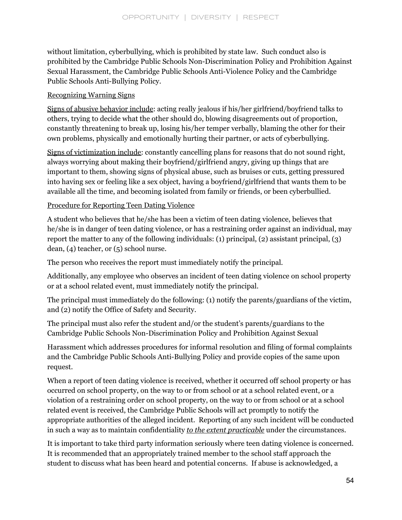without limitation, cyberbullying, which is prohibited by state law. Such conduct also is prohibited by the Cambridge Public Schools Non-Discrimination Policy and Prohibition Against Sexual Harassment, the Cambridge Public Schools Anti-Violence Policy and the Cambridge Public Schools Anti-Bullying Policy.

## Recognizing Warning Signs

Signs of abusive behavior include: acting really jealous if his/her girlfriend/boyfriend talks to others, trying to decide what the other should do, blowing disagreements out of proportion, constantly threatening to break up, losing his/her temper verbally, blaming the other for their own problems, physically and emotionally hurting their partner, or acts of cyberbullying.

Signs of victimization include: constantly cancelling plans for reasons that do not sound right, always worrying about making their boyfriend/girlfriend angry, giving up things that are important to them, showing signs of physical abuse, such as bruises or cuts, getting pressured into having sex or feeling like a sex object, having a boyfriend/girlfriend that wants them to be available all the time, and becoming isolated from family or friends, or been cyberbullied.

## Procedure for Reporting Teen Dating Violence

A student who believes that he/she has been a victim of teen dating violence, believes that he/she is in danger of teen dating violence, or has a restraining order against an individual, may report the matter to any of the following individuals: (1) principal, (2) assistant principal, (3) dean, (4) teacher, or (5) school nurse.

The person who receives the report must immediately notify the principal.

Additionally, any employee who observes an incident of teen dating violence on school property or at a school related event, must immediately notify the principal.

The principal must immediately do the following: (1) notify the parents/guardians of the victim, and (2) notify the Office of Safety and Security.

The principal must also refer the student and/or the student's parents/guardians to the Cambridge Public Schools Non-Discrimination Policy and Prohibition Against Sexual

Harassment which addresses procedures for informal resolution and filing of formal complaints and the Cambridge Public Schools Anti-Bullying Policy and provide copies of the same upon request.

When a report of teen dating violence is received, whether it occurred off school property or has occurred on school property, on the way to or from school or at a school related event, or a violation of a restraining order on school property, on the way to or from school or at a school related event is received, the Cambridge Public Schools will act promptly to notify the appropriate authorities of the alleged incident. Reporting of any such incident will be conducted in such a way as to maintain confidentiality *to the extent practicable* under the circumstances.

It is important to take third party information seriously where teen dating violence is concerned. It is recommended that an appropriately trained member to the school staff approach the student to discuss what has been heard and potential concerns. If abuse is acknowledged, a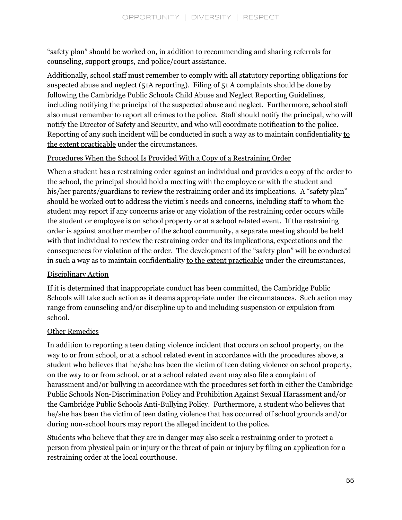"safety plan" should be worked on, in addition to recommending and sharing referrals for counseling, support groups, and police/court assistance.

Additionally, school staff must remember to comply with all statutory reporting obligations for suspected abuse and neglect (51A reporting). Filing of 51 A complaints should be done by following the Cambridge Public Schools Child Abuse and Neglect Reporting Guidelines, including notifying the principal of the suspected abuse and neglect. Furthermore, school staff also must remember to report all crimes to the police. Staff should notify the principal, who will notify the Director of Safety and Security, and who will coordinate notification to the police. Reporting of any such incident will be conducted in such a way as to maintain confidentiality to the extent practicable under the circumstances.

## Procedures When the School Is Provided With a Copy of a Restraining Order

When a student has a restraining order against an individual and provides a copy of the order to the school, the principal should hold a meeting with the employee or with the student and his/her parents/guardians to review the restraining order and its implications. A "safety plan" should be worked out to address the victim's needs and concerns, including staff to whom the student may report if any concerns arise or any violation of the restraining order occurs while the student or employee is on school property or at a school related event. If the restraining order is against another member of the school community, a separate meeting should be held with that individual to review the restraining order and its implications, expectations and the consequences for violation of the order. The development of the "safety plan" will be conducted in such a way as to maintain confidentiality to the extent practicable under the circumstances,

## Disciplinary Action

If it is determined that inappropriate conduct has been committed, the Cambridge Public Schools will take such action as it deems appropriate under the circumstances. Such action may range from counseling and/or discipline up to and including suspension or expulsion from school.

## Other Remedies

In addition to reporting a teen dating violence incident that occurs on school property, on the way to or from school, or at a school related event in accordance with the procedures above, a student who believes that he/she has been the victim of teen dating violence on school property, on the way to or from school, or at a school related event may also file a complaint of harassment and/or bullying in accordance with the procedures set forth in either the Cambridge Public Schools Non-Discrimination Policy and Prohibition Against Sexual Harassment and/or the Cambridge Public Schools Anti-Bullying Policy. Furthermore, a student who believes that he/she has been the victim of teen dating violence that has occurred off school grounds and/or during non-school hours may report the alleged incident to the police.

Students who believe that they are in danger may also seek a restraining order to protect a person from physical pain or injury or the threat of pain or injury by filing an application for a restraining order at the local courthouse.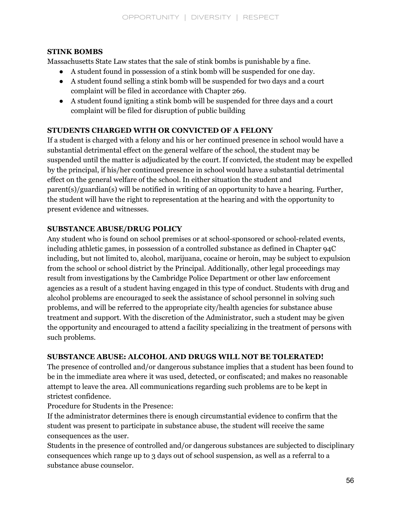## **STINK BOMBS**

Massachusetts State Law states that the sale of stink bombs is punishable by a fine.

- A student found in possession of a stink bomb will be suspended for one day.
- A student found selling a stink bomb will be suspended for two days and a court complaint will be filed in accordance with Chapter 269.
- A student found igniting a stink bomb will be suspended for three days and a court complaint will be filed for disruption of public building

## **STUDENTS CHARGED WITH OR CONVICTED OF A FELONY**

If a student is charged with a felony and his or her continued presence in school would have a substantial detrimental effect on the general welfare of the school, the student may be suspended until the matter is adjudicated by the court. If convicted, the student may be expelled by the principal, if his/her continued presence in school would have a substantial detrimental effect on the general welfare of the school. In either situation the student and parent(s)/guardian(s) will be notified in writing of an opportunity to have a hearing. Further, the student will have the right to representation at the hearing and with the opportunity to present evidence and witnesses.

## **SUBSTANCE ABUSE/DRUG POLICY**

Any student who is found on school premises or at school-sponsored or school-related events, including athletic games, in possession of a controlled substance as defined in Chapter 94C including, but not limited to, alcohol, marijuana, cocaine or heroin, may be subject to expulsion from the school or school district by the Principal. Additionally, other legal proceedings may result from investigations by the Cambridge Police Department or other law enforcement agencies as a result of a student having engaged in this type of conduct. Students with drug and alcohol problems are encouraged to seek the assistance of school personnel in solving such problems, and will be referred to the appropriate city/health agencies for substance abuse treatment and support. With the discretion of the Administrator, such a student may be given the opportunity and encouraged to attend a facility specializing in the treatment of persons with such problems.

## **SUBSTANCE ABUSE: ALCOHOL AND DRUGS WILL NOT BE TOLERATED!**

The presence of controlled and/or dangerous substance implies that a student has been found to be in the immediate area where it was used, detected, or confiscated; and makes no reasonable attempt to leave the area. All communications regarding such problems are to be kept in strictest confidence.

Procedure for Students in the Presence:

If the administrator determines there is enough circumstantial evidence to confirm that the student was present to participate in substance abuse, the student will receive the same consequences as the user.

Students in the presence of controlled and/or dangerous substances are subjected to disciplinary consequences which range up to 3 days out of school suspension, as well as a referral to a substance abuse counselor.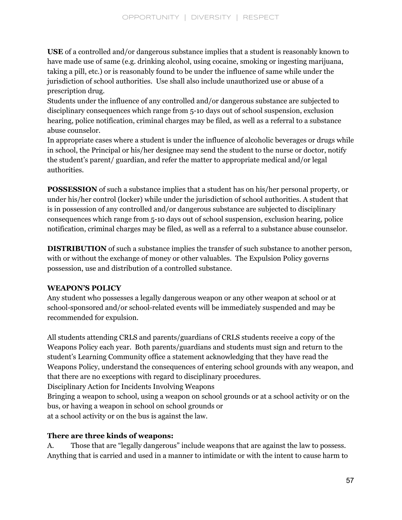**USE** of a controlled and/or dangerous substance implies that a student is reasonably known to have made use of same (e.g. drinking alcohol, using cocaine, smoking or ingesting marijuana, taking a pill, etc.) or is reasonably found to be under the influence of same while under the jurisdiction of school authorities. Use shall also include unauthorized use or abuse of a prescription drug.

Students under the influence of any controlled and/or dangerous substance are subjected to disciplinary consequences which range from 5-10 days out of school suspension, exclusion hearing, police notification, criminal charges may be filed, as well as a referral to a substance abuse counselor.

In appropriate cases where a student is under the influence of alcoholic beverages or drugs while in school, the Principal or his/her designee may send the student to the nurse or doctor, notify the student's parent/ guardian, and refer the matter to appropriate medical and/or legal authorities.

**POSSESSION** of such a substance implies that a student has on his/her personal property, or under his/her control (locker) while under the jurisdiction of school authorities. A student that is in possession of any controlled and/or dangerous substance are subjected to disciplinary consequences which range from 5-10 days out of school suspension, exclusion hearing, police notification, criminal charges may be filed, as well as a referral to a substance abuse counselor.

**DISTRIBUTION** of such a substance implies the transfer of such substance to another person, with or without the exchange of money or other valuables. The Expulsion Policy governs possession, use and distribution of a controlled substance.

## **WEAPON'S POLICY**

Any student who possesses a legally dangerous weapon or any other weapon at school or at school-sponsored and/or school-related events will be immediately suspended and may be recommended for expulsion.

All students attending CRLS and parents/guardians of CRLS students receive a copy of the Weapons Policy each year. Both parents/guardians and students must sign and return to the student's Learning Community office a statement acknowledging that they have read the Weapons Policy, understand the consequences of entering school grounds with any weapon, and that there are no exceptions with regard to disciplinary procedures. Disciplinary Action for Incidents Involving Weapons Bringing a weapon to school, using a weapon on school grounds or at a school activity or on the bus, or having a weapon in school on school grounds or at a school activity or on the bus is against the law.

## **There are three kinds of weapons:**

A. Those that are "legally dangerous" include weapons that are against the law to possess. Anything that is carried and used in a manner to intimidate or with the intent to cause harm to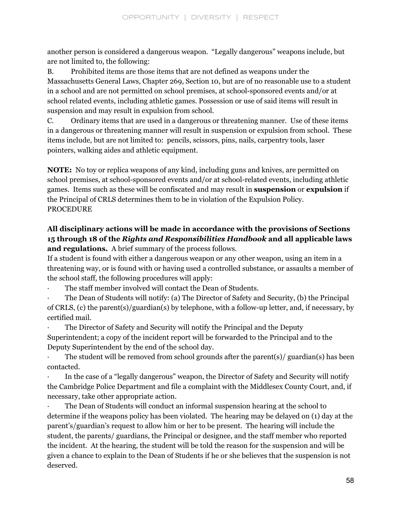another person is considered a dangerous weapon. "Legally dangerous" weapons include, but are not limited to, the following:

B. Prohibited items are those items that are not defined as weapons under the Massachusetts General Laws, Chapter 269, Section 10, but are of no reasonable use to a student in a school and are not permitted on school premises, at school-sponsored events and/or at school related events, including athletic games. Possession or use of said items will result in suspension and may result in expulsion from school.

C. Ordinary items that are used in a dangerous or threatening manner. Use of these items in a dangerous or threatening manner will result in suspension or expulsion from school. These items include, but are not limited to: pencils, scissors, pins, nails, carpentry tools, laser pointers, walking aides and athletic equipment.

**NOTE:** No toy or replica weapons of any kind, including guns and knives, are permitted on school premises, at school-sponsored events and/or at school-related events, including athletic games. Items such as these will be confiscated and may result in **suspension** or **expulsion** if the Principal of CRLS determines them to be in violation of the Expulsion Policy. PROCEDURE

## **All disciplinary actions will be made in accordance with the provisions of Sections 15 through 18 of the** *Rights and Responsibilities Handbook* **and all applicable laws and regulations.** A brief summary of the process follows.

If a student is found with either a dangerous weapon or any other weapon, using an item in a threatening way, or is found with or having used a controlled substance, or assaults a member of the school staff, the following procedures will apply:

The staff member involved will contact the Dean of Students.

· The Dean of Students will notify: (a) The Director of Safety and Security, (b) the Principal of CRLS, (c) the parent(s)/guardian(s) by telephone, with a follow-up letter, and, if necessary, by certified mail.

The Director of Safety and Security will notify the Principal and the Deputy

Superintendent; a copy of the incident report will be forwarded to the Principal and to the Deputy Superintendent by the end of the school day.

The student will be removed from school grounds after the parent(s)/ guardian(s) has been contacted.

In the case of a "legally dangerous" weapon, the Director of Safety and Security will notify the Cambridge Police Department and file a complaint with the Middlesex County Court, and, if necessary, take other appropriate action.

· The Dean of Students will conduct an informal suspension hearing at the school to determine if the weapons policy has been violated. The hearing may be delayed on (1) day at the parent's/guardian's request to allow him or her to be present. The hearing will include the student, the parents/ guardians, the Principal or designee, and the staff member who reported the incident. At the hearing, the student will be told the reason for the suspension and will be given a chance to explain to the Dean of Students if he or she believes that the suspension is not deserved.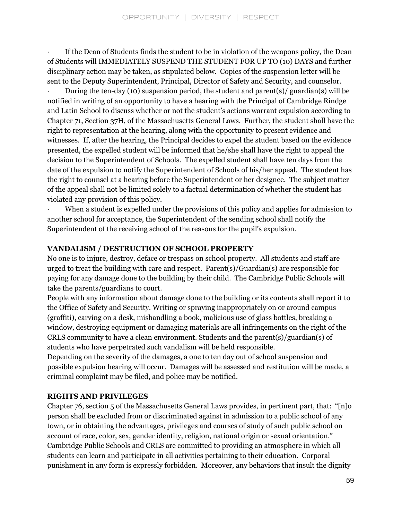If the Dean of Students finds the student to be in violation of the weapons policy, the Dean of Students will IMMEDIATELY SUSPEND THE STUDENT FOR UP TO (10) DAYS and further disciplinary action may be taken, as stipulated below. Copies of the suspension letter will be sent to the Deputy Superintendent, Principal, Director of Safety and Security, and counselor.

During the ten-day (10) suspension period, the student and parent(s)/ guardian(s) will be notified in writing of an opportunity to have a hearing with the Principal of Cambridge Rindge and Latin School to discuss whether or not the student's actions warrant expulsion according to Chapter 71, Section 37H, of the Massachusetts General Laws. Further, the student shall have the right to representation at the hearing, along with the opportunity to present evidence and witnesses. If, after the hearing, the Principal decides to expel the student based on the evidence presented, the expelled student will be informed that he/she shall have the right to appeal the decision to the Superintendent of Schools. The expelled student shall have ten days from the date of the expulsion to notify the Superintendent of Schools of his/her appeal. The student has the right to counsel at a hearing before the Superintendent or her designee. The subject matter of the appeal shall not be limited solely to a factual determination of whether the student has violated any provision of this policy.

When a student is expelled under the provisions of this policy and applies for admission to another school for acceptance, the Superintendent of the sending school shall notify the Superintendent of the receiving school of the reasons for the pupil's expulsion.

## **VANDALISM / DESTRUCTION OF SCHOOL PROPERTY**

No one is to injure, destroy, deface or trespass on school property. All students and staff are urged to treat the building with care and respect. Parent(s)/Guardian(s) are responsible for paying for any damage done to the building by their child. The Cambridge Public Schools will take the parents/guardians to court.

People with any information about damage done to the building or its contents shall report it to the Office of Safety and Security. Writing or spraying inappropriately on or around campus (graffiti), carving on a desk, mishandling a book, malicious use of glass bottles, breaking a window, destroying equipment or damaging materials are all infringements on the right of the CRLS community to have a clean environment. Students and the parent(s)/guardian(s) of students who have perpetrated such vandalism will be held responsible.

Depending on the severity of the damages, a one to ten day out of school suspension and possible expulsion hearing will occur. Damages will be assessed and restitution will be made, a criminal complaint may be filed, and police may be notified.

## **RIGHTS AND PRIVILEGES**

Chapter 76, section 5 of the Massachusetts General Laws provides, in pertinent part, that: "[n]o person shall be excluded from or discriminated against in admission to a public school of any town, or in obtaining the advantages, privileges and courses of study of such public school on account of race, color, sex, gender identity, religion, national origin or sexual orientation." Cambridge Public Schools and CRLS are committed to providing an atmosphere in which all students can learn and participate in all activities pertaining to their education. Corporal punishment in any form is expressly forbidden. Moreover, any behaviors that insult the dignity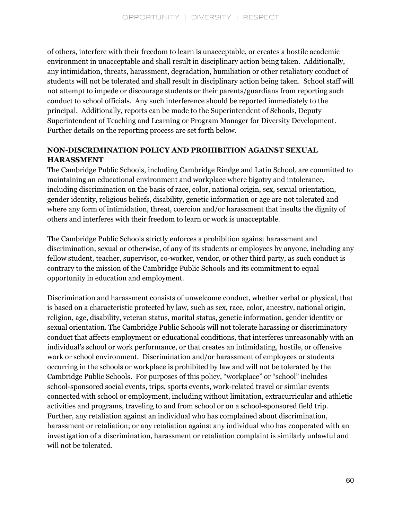of others, interfere with their freedom to learn is unacceptable, or creates a hostile academic environment in unacceptable and shall result in disciplinary action being taken. Additionally, any intimidation, threats, harassment, degradation, humiliation or other retaliatory conduct of students will not be tolerated and shall result in disciplinary action being taken. School staff will not attempt to impede or discourage students or their parents/guardians from reporting such conduct to school officials. Any such interference should be reported immediately to the principal. Additionally, reports can be made to the Superintendent of Schools, Deputy Superintendent of Teaching and Learning or Program Manager for Diversity Development. Further details on the reporting process are set forth below.

## **NON-DISCRIMINATION POLICY AND PROHIBITION AGAINST SEXUAL HARASSMENT**

The Cambridge Public Schools, including Cambridge Rindge and Latin School, are committed to maintaining an educational environment and workplace where bigotry and intolerance, including discrimination on the basis of race, color, national origin, sex, sexual orientation, gender identity, religious beliefs, disability, genetic information or age are not tolerated and where any form of intimidation, threat, coercion and/or harassment that insults the dignity of others and interferes with their freedom to learn or work is unacceptable.

The Cambridge Public Schools strictly enforces a prohibition against harassment and discrimination, sexual or otherwise, of any of its students or employees by anyone, including any fellow student, teacher, supervisor, co-worker, vendor, or other third party, as such conduct is contrary to the mission of the Cambridge Public Schools and its commitment to equal opportunity in education and employment.

Discrimination and harassment consists of unwelcome conduct, whether verbal or physical, that is based on a characteristic protected by law, such as sex, race, color, ancestry, national origin, religion, age, disability, veteran status, marital status, genetic information, gender identity or sexual orientation. The Cambridge Public Schools will not tolerate harassing or discriminatory conduct that affects employment or educational conditions, that interferes unreasonably with an individual's school or work performance, or that creates an intimidating, hostile, or offensive work or school environment. Discrimination and/or harassment of employees or students occurring in the schools or workplace is prohibited by law and will not be tolerated by the Cambridge Public Schools. For purposes of this policy, "workplace" or "school" includes school-sponsored social events, trips, sports events, work-related travel or similar events connected with school or employment, including without limitation, extracurricular and athletic activities and programs, traveling to and from school or on a school-sponsored field trip. Further, any retaliation against an individual who has complained about discrimination, harassment or retaliation; or any retaliation against any individual who has cooperated with an investigation of a discrimination, harassment or retaliation complaint is similarly unlawful and will not be tolerated.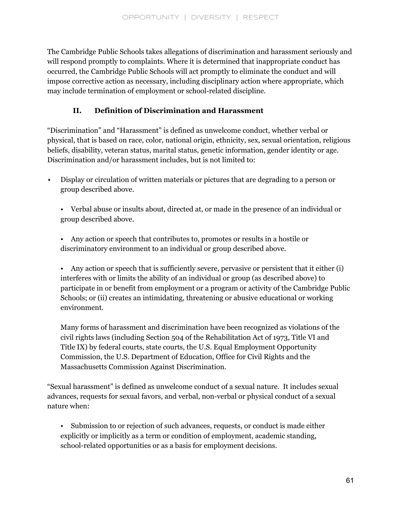The Cambridge Public Schools takes allegations of discrimination and harassment seriously and will respond promptly to complaints. Where it is determined that inappropriate conduct has occurred, the Cambridge Public Schools will act promptly to eliminate the conduct and will impose corrective action as necessary, including disciplinary action where appropriate, which may include termination of employment or school-related discipline.

## **II. Definition of Discrimination and Harassment**

"Discrimination" and "Harassment" is defined as unwelcome conduct, whether verbal or physical, that is based on race, color, national origin, ethnicity, sex, sexual orientation, religious beliefs, disability, veteran status, marital status, genetic information, gender identity or age. Discrimination and/or harassment includes, but is not limited to:

• Display or circulation of written materials or pictures that are degrading to a person or group described above.

• Verbal abuse or insults about, directed at, or made in the presence of an individual or group described above.

• Any action or speech that contributes to, promotes or results in a hostile or discriminatory environment to an individual or group described above.

• Any action or speech that is sufficiently severe, pervasive or persistent that it either (i) interferes with or limits the ability of an individual or group (as described above) to participate in or benefit from employment or a program or activity of the Cambridge Public Schools; or (ii) creates an intimidating, threatening or abusive educational or working environment.

Many forms of harassment and discrimination have been recognized as violations of the civil rights laws (including Section 504 of the Rehabilitation Act of 1973, Title VI and Title IX) by federal courts, state courts, the U.S. Equal Employment Opportunity Commission, the U.S. Department of Education, Office for Civil Rights and the Massachusetts Commission Against Discrimination.

"Sexual harassment" is defined as unwelcome conduct of a sexual nature. It includes sexual advances, requests for sexual favors, and verbal, non-verbal or physical conduct of a sexual nature when:

• Submission to or rejection of such advances, requests, or conduct is made either explicitly or implicitly as a term or condition of employment, academic standing, school-related opportunities or as a basis for employment decisions.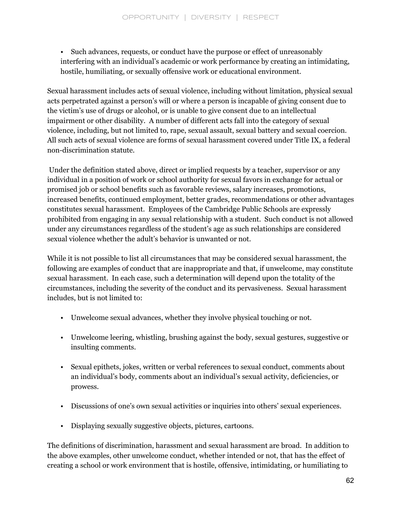• Such advances, requests, or conduct have the purpose or effect of unreasonably interfering with an individual's academic or work performance by creating an intimidating, hostile, humiliating, or sexually offensive work or educational environment.

Sexual harassment includes acts of sexual violence, including without limitation, physical sexual acts perpetrated against a person's will or where a person is incapable of giving consent due to the victim's use of drugs or alcohol, or is unable to give consent due to an intellectual impairment or other disability. A number of different acts fall into the category of sexual violence, including, but not limited to, rape, sexual assault, sexual battery and sexual coercion. All such acts of sexual violence are forms of sexual harassment covered under Title IX, a federal non-discrimination statute.

Under the definition stated above, direct or implied requests by a teacher, supervisor or any individual in a position of work or school authority for sexual favors in exchange for actual or promised job or school benefits such as favorable reviews, salary increases, promotions, increased benefits, continued employment, better grades, recommendations or other advantages constitutes sexual harassment. Employees of the Cambridge Public Schools are expressly prohibited from engaging in any sexual relationship with a student. Such conduct is not allowed under any circumstances regardless of the student's age as such relationships are considered sexual violence whether the adult's behavior is unwanted or not.

While it is not possible to list all circumstances that may be considered sexual harassment, the following are examples of conduct that are inappropriate and that, if unwelcome, may constitute sexual harassment. In each case, such a determination will depend upon the totality of the circumstances, including the severity of the conduct and its pervasiveness. Sexual harassment includes, but is not limited to:

- Unwelcome sexual advances, whether they involve physical touching or not.
- Unwelcome leering, whistling, brushing against the body, sexual gestures, suggestive or insulting comments.
- Sexual epithets, jokes, written or verbal references to sexual conduct, comments about an individual's body, comments about an individual's sexual activity, deficiencies, or prowess.
- Discussions of one's own sexual activities or inquiries into others' sexual experiences.
- Displaying sexually suggestive objects, pictures, cartoons.

The definitions of discrimination, harassment and sexual harassment are broad. In addition to the above examples, other unwelcome conduct, whether intended or not, that has the effect of creating a school or work environment that is hostile, offensive, intimidating, or humiliating to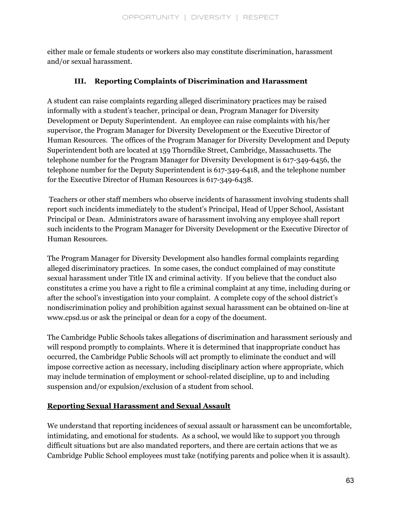either male or female students or workers also may constitute discrimination, harassment and/or sexual harassment.

## **III. Reporting Complaints of Discrimination and Harassment**

A student can raise complaints regarding alleged discriminatory practices may be raised informally with a student's teacher, principal or dean, Program Manager for Diversity Development or Deputy Superintendent. An employee can raise complaints with his/her supervisor, the Program Manager for Diversity Development or the Executive Director of Human Resources. The offices of the Program Manager for Diversity Development and Deputy Superintendent both are located at 159 Thorndike Street, Cambridge, Massachusetts. The telephone number for the Program Manager for Diversity Development is 617-349-6456, the telephone number for the Deputy Superintendent is 617-349-6418, and the telephone number for the Executive Director of Human Resources is 617-349-6438.

Teachers or other staff members who observe incidents of harassment involving students shall report such incidents immediately to the student's Principal, Head of Upper School, Assistant Principal or Dean. Administrators aware of harassment involving any employee shall report such incidents to the Program Manager for Diversity Development or the Executive Director of Human Resources.

The Program Manager for Diversity Development also handles formal complaints regarding alleged discriminatory practices. In some cases, the conduct complained of may constitute sexual harassment under Title IX and criminal activity. If you believe that the conduct also constitutes a crime you have a right to file a criminal complaint at any time, including during or after the school's investigation into your complaint. A complete copy of the school district's nondiscrimination policy and prohibition against sexual harassment can be obtained on-line at www.cpsd.us or ask the principal or dean for a copy of the document.

The Cambridge Public Schools takes allegations of discrimination and harassment seriously and will respond promptly to complaints. Where it is determined that inappropriate conduct has occurred, the Cambridge Public Schools will act promptly to eliminate the conduct and will impose corrective action as necessary, including disciplinary action where appropriate, which may include termination of employment or school-related discipline, up to and including suspension and/or expulsion/exclusion of a student from school.

## **Reporting Sexual Harassment and Sexual Assault**

We understand that reporting incidences of sexual assault or harassment can be uncomfortable, intimidating, and emotional for students. As a school, we would like to support you through difficult situations but are also mandated reporters, and there are certain actions that we as Cambridge Public School employees must take (notifying parents and police when it is assault).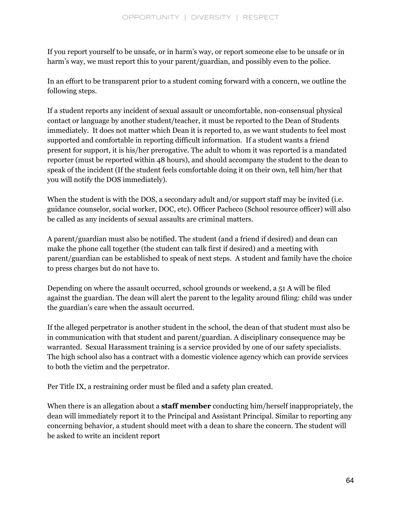If you report yourself to be unsafe, or in harm's way, or report someone else to be unsafe or in harm's way, we must report this to your parent/guardian, and possibly even to the police.

In an effort to be transparent prior to a student coming forward with a concern, we outline the following steps.

If a student reports any incident of sexual assault or uncomfortable, non-consensual physical contact or language by another student/teacher, it must be reported to the Dean of Students immediately. It does not matter which Dean it is reported to, as we want students to feel most supported and comfortable in reporting difficult information. If a student wants a friend present for support, it is his/her prerogative. The adult to whom it was reported is a mandated reporter (must be reported within 48 hours), and should accompany the student to the dean to speak of the incident (If the student feels comfortable doing it on their own, tell him/her that you will notify the DOS immediately).

When the student is with the DOS, a secondary adult and/or support staff may be invited (i.e. guidance counselor, social worker, DOC, etc). Officer Pacheco (School resource officer) will also be called as any incidents of sexual assaults are criminal matters.

A parent/guardian must also be notified. The student (and a friend if desired) and dean can make the phone call together (the student can talk first if desired) and a meeting with parent/guardian can be established to speak of next steps. A student and family have the choice to press charges but do not have to.

Depending on where the assault occurred, school grounds or weekend, a 51 A will be filed against the guardian. The dean will alert the parent to the legality around filing: child was under the guardian's care when the assault occurred.

If the alleged perpetrator is another student in the school, the dean of that student must also be in communication with that student and parent/guardian. A disciplinary consequence may be warranted. Sexual Harassment training is a service provided by one of our safety specialists. The high school also has a contract with a domestic violence agency which can provide services to both the victim and the perpetrator.

Per Title IX, a restraining order must be filed and a safety plan created.

When there is an allegation about a **staff member** conducting him/herself inappropriately, the dean will immediately report it to the Principal and Assistant Principal. Similar to reporting any concerning behavior, a student should meet with a dean to share the concern. The student will be asked to write an incident report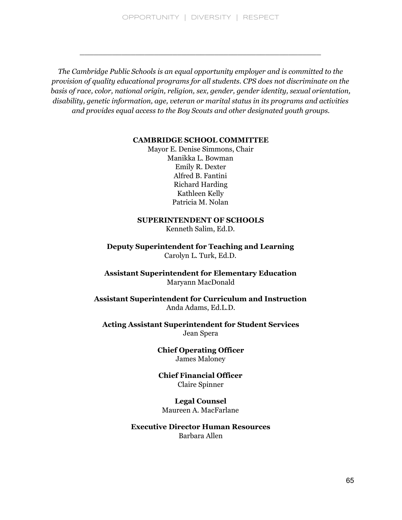OPPORTUNITY | DIVERSITY | RESPECT

\_\_\_\_\_\_\_\_\_\_\_\_\_\_\_\_\_\_\_\_\_\_\_\_\_\_\_\_\_\_\_\_\_\_\_\_\_\_\_\_\_\_\_\_\_\_\_\_\_\_\_\_

*The Cambridge Public Schools is an equal opportunity employer and is committed to the provision of quality educational programs for all students. CPS does not discriminate on the basis of race, color, national origin, religion, sex, gender, gender identity, sexual orientation, disability, genetic information, age, veteran or marital status in its programs and activities and provides equal access to the Boy Scouts and other designated youth groups.*

#### **CAMBRIDGE SCHOOL COMMITTEE**

Mayor E. Denise Simmons, Chair Manikka L. Bowman Emily R. Dexter Alfred B. Fantini Richard Harding Kathleen Kelly Patricia M. Nolan

## **SUPERINTENDENT OF SCHOOLS**

Kenneth Salim, Ed.D.

**Deputy Superintendent for Teaching and Learning** Carolyn L. Turk, Ed.D.

**Assistant Superintendent for Elementary Education** Maryann MacDonald

**Assistant Superintendent for Curriculum and Instruction** Anda Adams, Ed.L.D.

**Acting Assistant Superintendent for Student Services** Jean Spera

> **Chief Operating Officer** James Maloney

**Chief Financial Officer** Claire Spinner

**Legal Counsel** Maureen A. MacFarlane

**Executive Director Human Resources** Barbara Allen